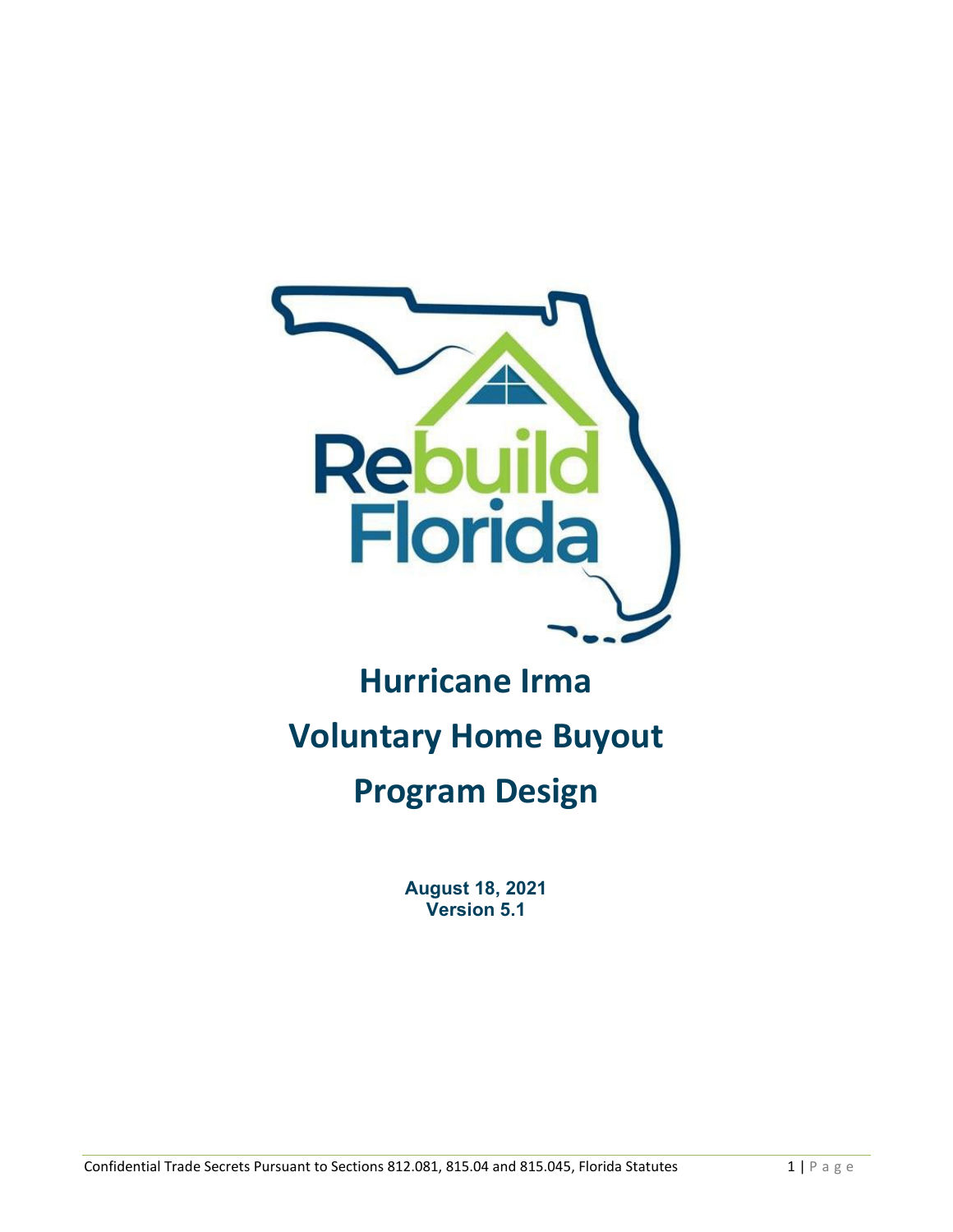

# **Hurricane Irma Voluntary Home Buyout Program Design**

**August 18, 2021 Version 5.1**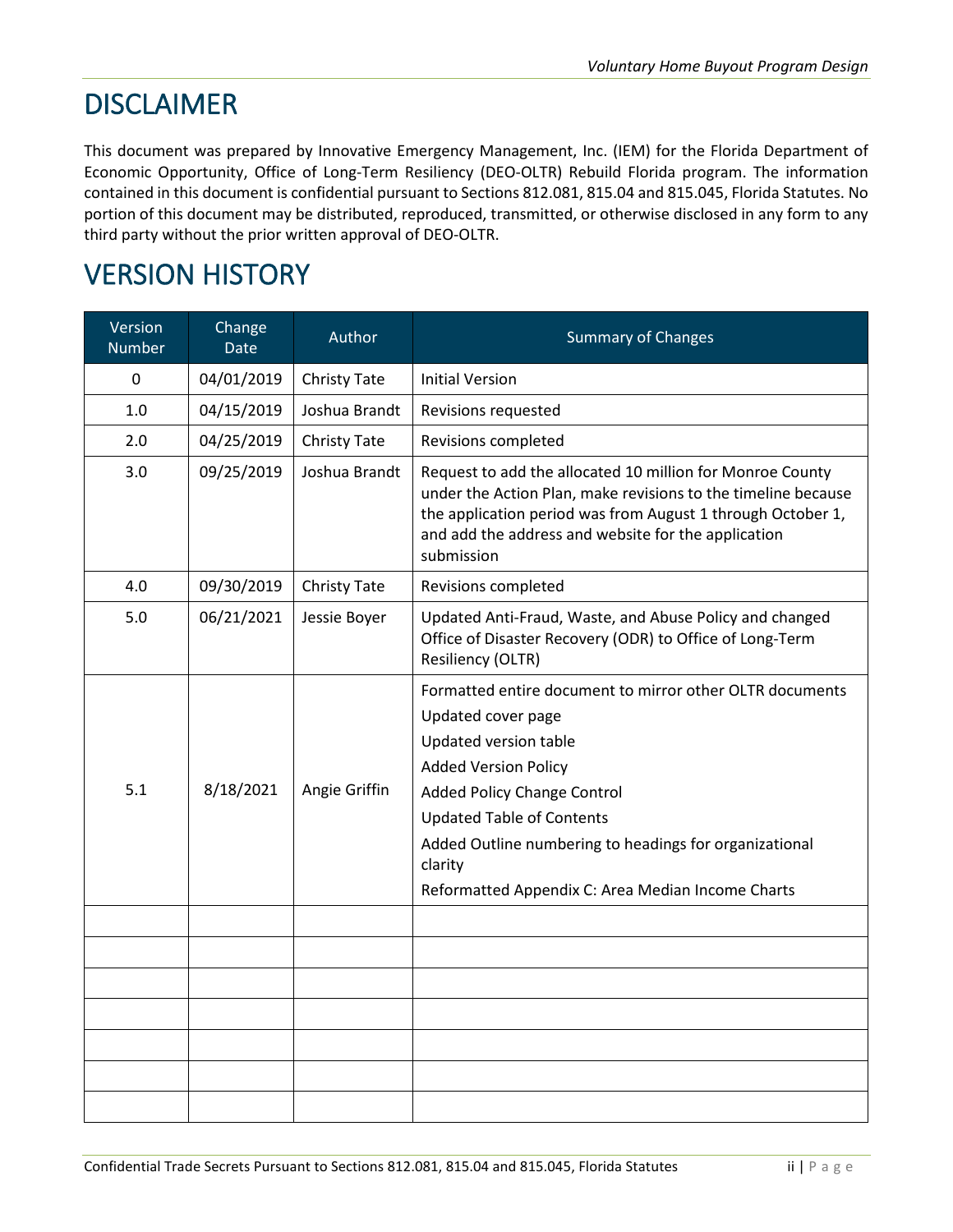## **DISCLAIMER**

This document was prepared by Innovative Emergency Management, Inc. (IEM) for the Florida Department of Economic Opportunity, Office of Long-Term Resiliency (DEO-OLTR) Rebuild Florida program. The information contained in this document is confidential pursuant to Sections 812.081, 815.04 and 815.045, Florida Statutes. No portion of this document may be distributed, reproduced, transmitted, or otherwise disclosed in any form to any third party without the prior written approval of DEO-OLTR.

## VERSION HISTORY

| Version<br><b>Number</b> | Change<br><b>Date</b> | Author        | <b>Summary of Changes</b>                                                                                                                                                                                                                                                                                                                  |
|--------------------------|-----------------------|---------------|--------------------------------------------------------------------------------------------------------------------------------------------------------------------------------------------------------------------------------------------------------------------------------------------------------------------------------------------|
| $\mathbf 0$              | 04/01/2019            | Christy Tate  | <b>Initial Version</b>                                                                                                                                                                                                                                                                                                                     |
| 1.0                      | 04/15/2019            | Joshua Brandt | Revisions requested                                                                                                                                                                                                                                                                                                                        |
| 2.0                      | 04/25/2019            | Christy Tate  | Revisions completed                                                                                                                                                                                                                                                                                                                        |
| 3.0                      | 09/25/2019            | Joshua Brandt | Request to add the allocated 10 million for Monroe County<br>under the Action Plan, make revisions to the timeline because<br>the application period was from August 1 through October 1,<br>and add the address and website for the application<br>submission                                                                             |
| 4.0                      | 09/30/2019            | Christy Tate  | Revisions completed                                                                                                                                                                                                                                                                                                                        |
| 5.0                      | 06/21/2021            | Jessie Boyer  | Updated Anti-Fraud, Waste, and Abuse Policy and changed<br>Office of Disaster Recovery (ODR) to Office of Long-Term<br>Resiliency (OLTR)                                                                                                                                                                                                   |
| 5.1                      | 8/18/2021             | Angie Griffin | Formatted entire document to mirror other OLTR documents<br>Updated cover page<br>Updated version table<br><b>Added Version Policy</b><br><b>Added Policy Change Control</b><br><b>Updated Table of Contents</b><br>Added Outline numbering to headings for organizational<br>clarity<br>Reformatted Appendix C: Area Median Income Charts |
|                          |                       |               |                                                                                                                                                                                                                                                                                                                                            |
|                          |                       |               |                                                                                                                                                                                                                                                                                                                                            |
|                          |                       |               |                                                                                                                                                                                                                                                                                                                                            |
|                          |                       |               |                                                                                                                                                                                                                                                                                                                                            |
|                          |                       |               |                                                                                                                                                                                                                                                                                                                                            |
|                          |                       |               |                                                                                                                                                                                                                                                                                                                                            |
|                          |                       |               |                                                                                                                                                                                                                                                                                                                                            |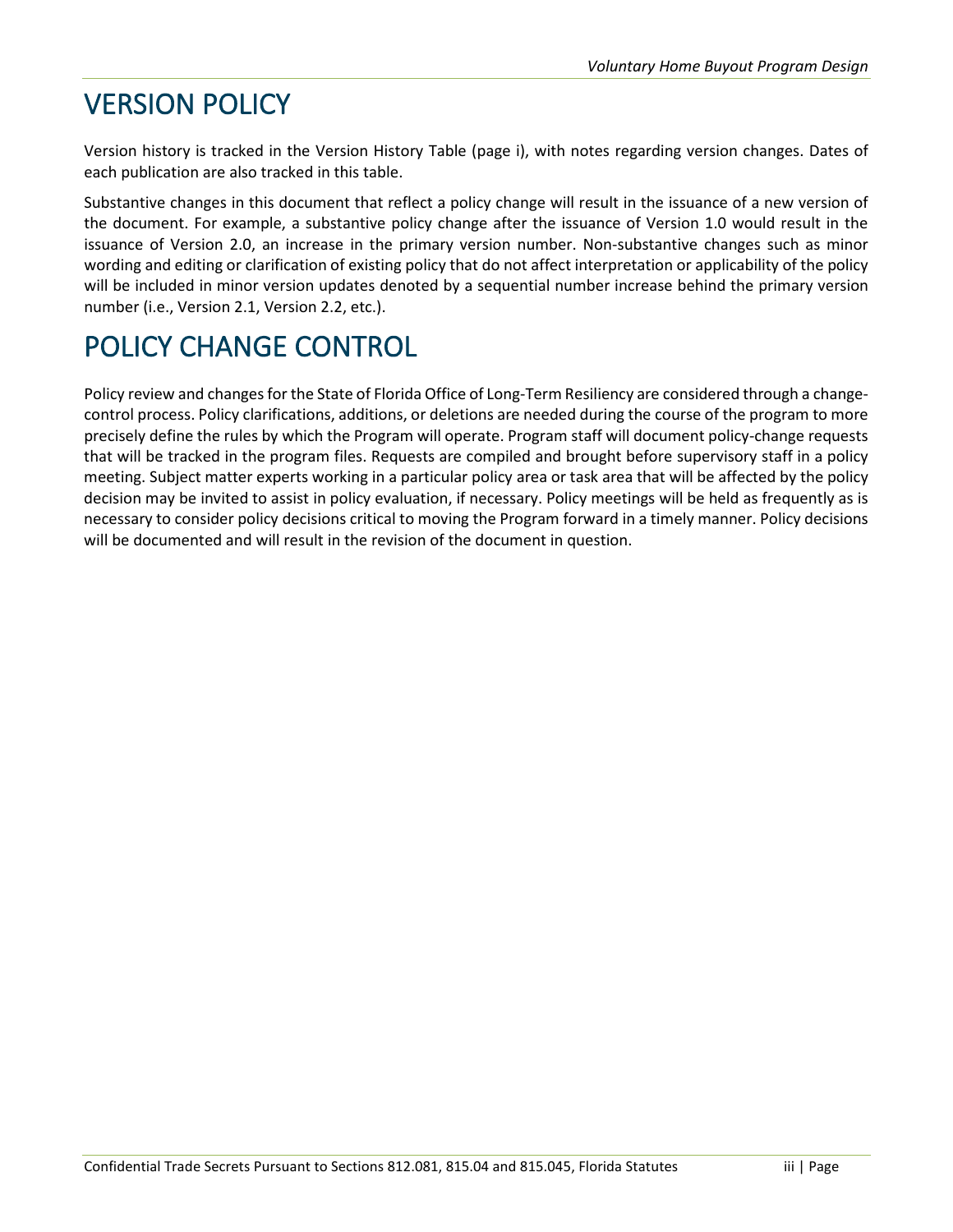## VERSION POLICY

Version history is tracked in the Version History Table (page i), with notes regarding version changes. Dates of each publication are also tracked in this table.

Substantive changes in this document that reflect a policy change will result in the issuance of a new version of the document. For example, a substantive policy change after the issuance of Version 1.0 would result in the issuance of Version 2.0, an increase in the primary version number. Non-substantive changes such as minor wording and editing or clarification of existing policy that do not affect interpretation or applicability of the policy will be included in minor version updates denoted by a sequential number increase behind the primary version number (i.e., Version 2.1, Version 2.2, etc.).

## POLICY CHANGE CONTROL

Policy review and changes for the State of Florida Office of Long-Term Resiliency are considered through a changecontrol process. Policy clarifications, additions, or deletions are needed during the course of the program to more precisely define the rules by which the Program will operate. Program staff will document policy-change requests that will be tracked in the program files. Requests are compiled and brought before supervisory staff in a policy meeting. Subject matter experts working in a particular policy area or task area that will be affected by the policy decision may be invited to assist in policy evaluation, if necessary. Policy meetings will be held as frequently as is necessary to consider policy decisions critical to moving the Program forward in a timely manner. Policy decisions will be documented and will result in the revision of the document in question.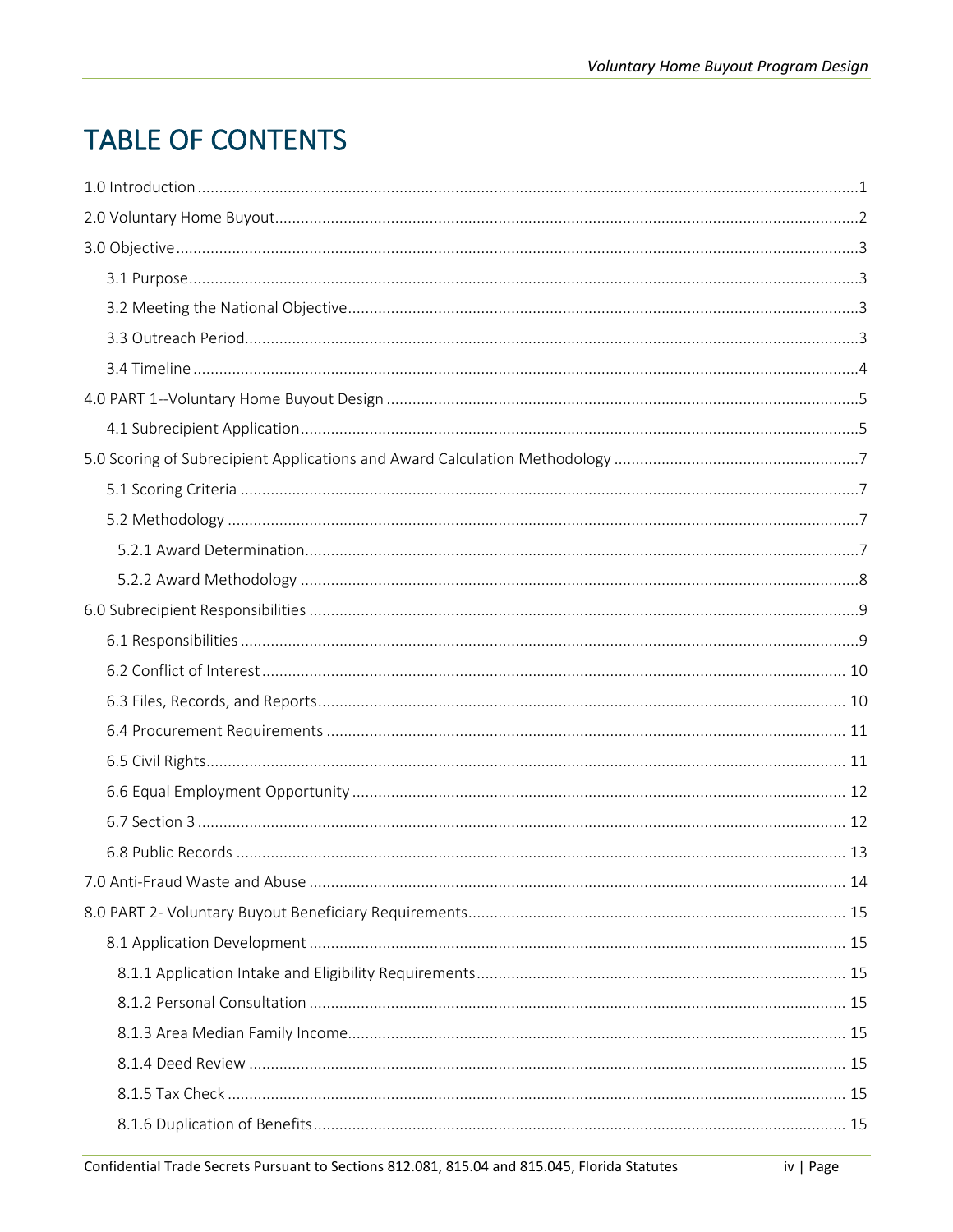## **TABLE OF CONTENTS**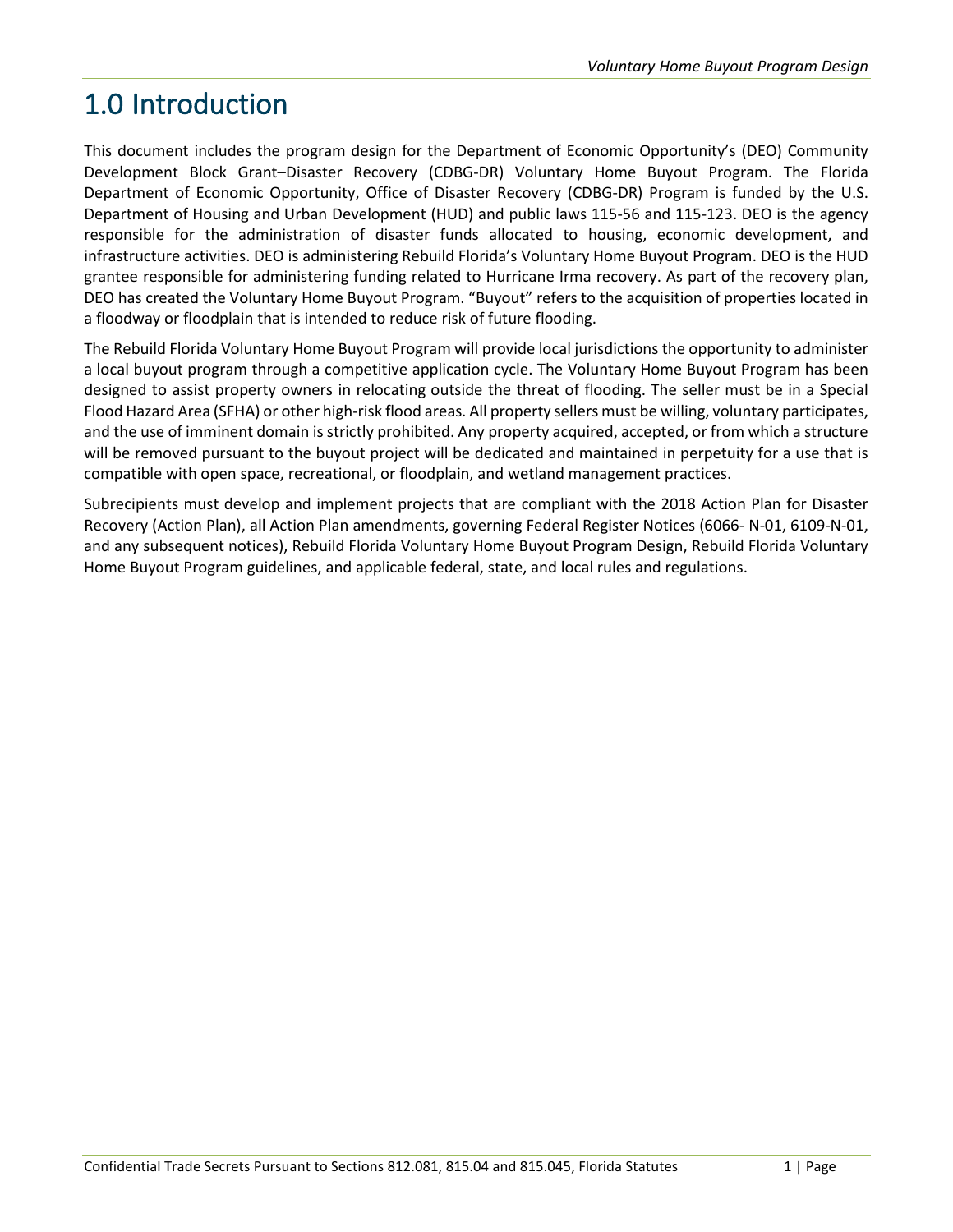## <span id="page-5-0"></span>1.0 Introduction

This document includes the program design for the Department of Economic Opportunity's (DEO) Community Development Block Grant–Disaster Recovery (CDBG-DR) Voluntary Home Buyout Program. The Florida Department of Economic Opportunity, Office of Disaster Recovery (CDBG-DR) Program is funded by the U.S. Department of Housing and Urban Development (HUD) and public laws 115-56 and 115-123. DEO is the agency responsible for the administration of disaster funds allocated to housing, economic development, and infrastructure activities. DEO is administering Rebuild Florida's Voluntary Home Buyout Program. DEO is the HUD grantee responsible for administering funding related to Hurricane Irma recovery. As part of the recovery plan, DEO has created the Voluntary Home Buyout Program. "Buyout" refers to the acquisition of properties located in a floodway or floodplain that is intended to reduce risk of future flooding.

The Rebuild Florida Voluntary Home Buyout Program will provide local jurisdictions the opportunity to administer a local buyout program through a competitive application cycle. The Voluntary Home Buyout Program has been designed to assist property owners in relocating outside the threat of flooding. The seller must be in a Special Flood Hazard Area (SFHA) or other high-risk flood areas. All property sellers must be willing, voluntary participates, and the use of imminent domain is strictly prohibited. Any property acquired, accepted, or from which a structure will be removed pursuant to the buyout project will be dedicated and maintained in perpetuity for a use that is compatible with open space, recreational, or floodplain, and wetland management practices.

Subrecipients must develop and implement projects that are compliant with the 2018 Action Plan for Disaster Recovery (Action Plan), all Action Plan amendments, governing Federal Register Notices (6066- N-01, 6109-N-01, and any subsequent notices), Rebuild Florida Voluntary Home Buyout Program Design, Rebuild Florida Voluntary Home Buyout Program guidelines, and applicable federal, state, and local rules and regulations.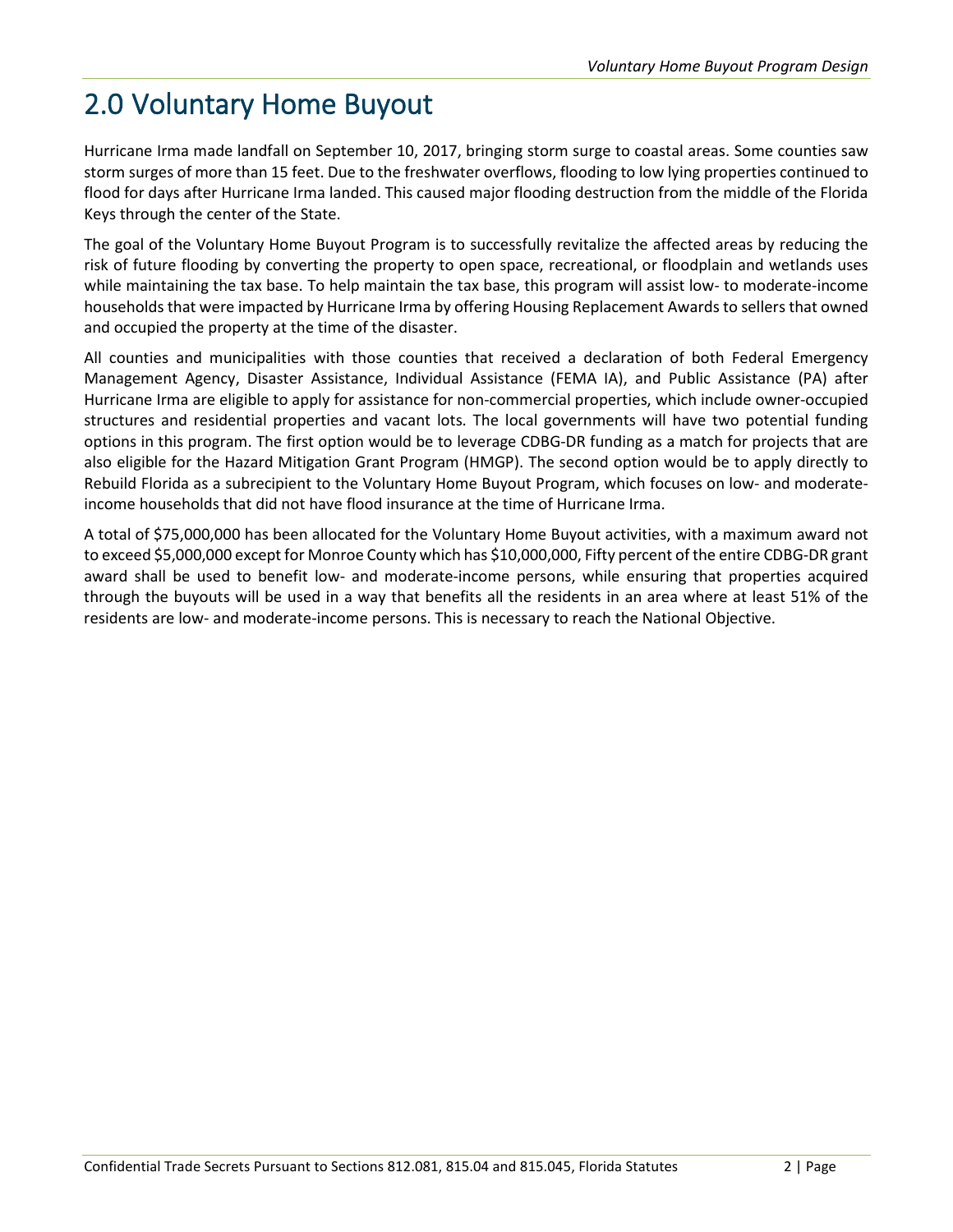## <span id="page-6-0"></span>2.0 Voluntary Home Buyout

Hurricane Irma made landfall on September 10, 2017, bringing storm surge to coastal areas. Some counties saw storm surges of more than 15 feet. Due to the freshwater overflows, flooding to low lying properties continued to flood for days after Hurricane Irma landed. This caused major flooding destruction from the middle of the Florida Keys through the center of the State.

The goal of the Voluntary Home Buyout Program is to successfully revitalize the affected areas by reducing the risk of future flooding by converting the property to open space, recreational, or floodplain and wetlands uses while maintaining the tax base. To help maintain the tax base, this program will assist low- to moderate-income households that were impacted by Hurricane Irma by offering Housing Replacement Awards to sellers that owned and occupied the property at the time of the disaster.

All counties and municipalities with those counties that received a declaration of both Federal Emergency Management Agency, Disaster Assistance, Individual Assistance (FEMA IA), and Public Assistance (PA) after Hurricane Irma are eligible to apply for assistance for non-commercial properties, which include owner-occupied structures and residential properties and vacant lots. The local governments will have two potential funding options in this program. The first option would be to leverage CDBG-DR funding as a match for projects that are also eligible for the Hazard Mitigation Grant Program (HMGP). The second option would be to apply directly to Rebuild Florida as a subrecipient to the Voluntary Home Buyout Program, which focuses on low- and moderateincome households that did not have flood insurance at the time of Hurricane Irma.

A total of \$75,000,000 has been allocated for the Voluntary Home Buyout activities, with a maximum award not to exceed \$5,000,000 except for Monroe County which has \$10,000,000, Fifty percent of the entire CDBG-DR grant award shall be used to benefit low- and moderate-income persons, while ensuring that properties acquired through the buyouts will be used in a way that benefits all the residents in an area where at least 51% of the residents are low- and moderate-income persons. This is necessary to reach the National Objective.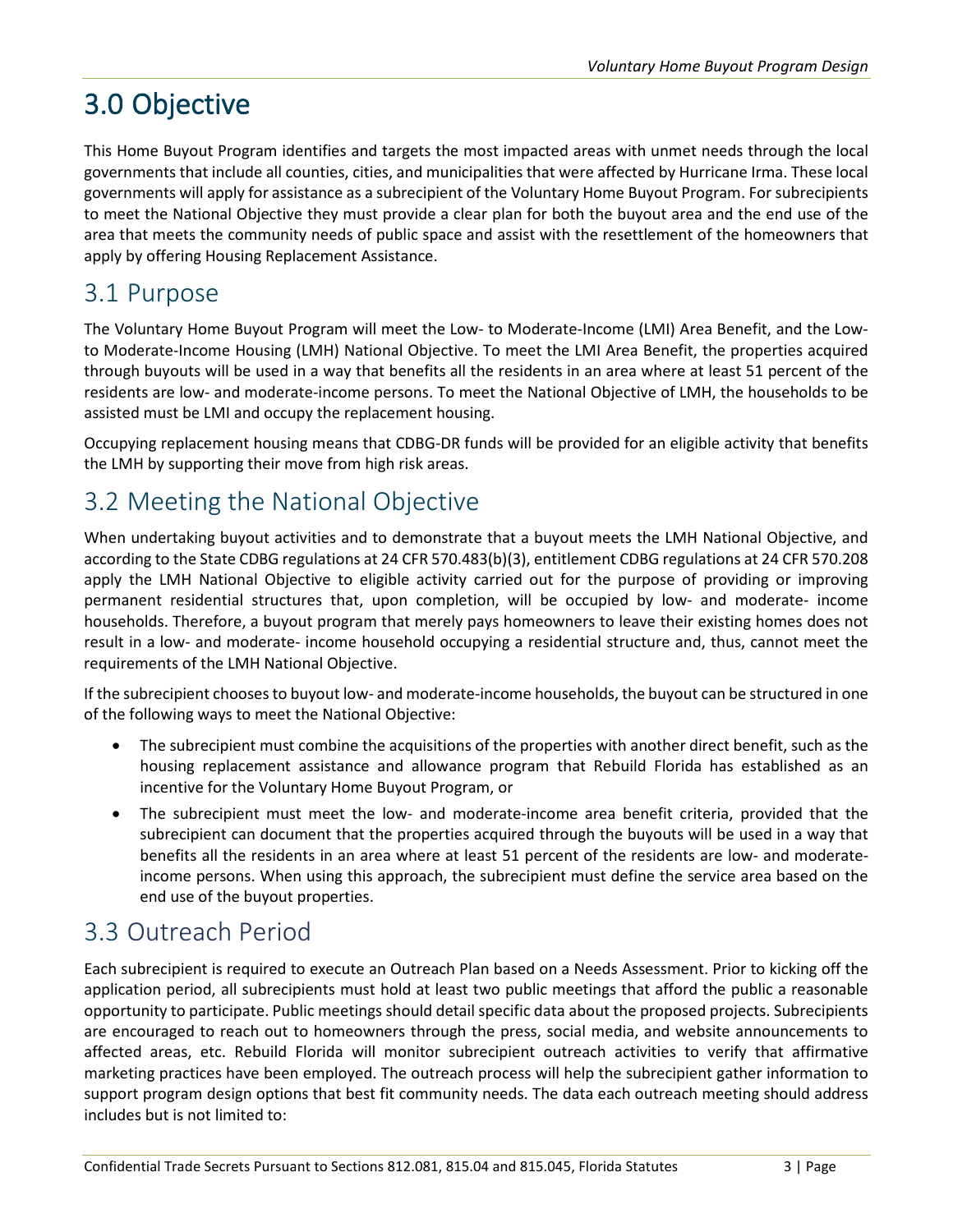## <span id="page-7-0"></span>3.0 Objective

This Home Buyout Program identifies and targets the most impacted areas with unmet needs through the local governments that include all counties, cities, and municipalities that were affected by Hurricane Irma. These local governments will apply for assistance as a subrecipient of the Voluntary Home Buyout Program. For subrecipients to meet the National Objective they must provide a clear plan for both the buyout area and the end use of the area that meets the community needs of public space and assist with the resettlement of the homeowners that apply by offering Housing Replacement Assistance.

### <span id="page-7-1"></span>3.1 Purpose

The Voluntary Home Buyout Program will meet the Low- to Moderate-Income (LMI) Area Benefit, and the Lowto Moderate-Income Housing (LMH) National Objective. To meet the LMI Area Benefit, the properties acquired through buyouts will be used in a way that benefits all the residents in an area where at least 51 percent of the residents are low- and moderate-income persons. To meet the National Objective of LMH, the households to be assisted must be LMI and occupy the replacement housing.

Occupying replacement housing means that CDBG-DR funds will be provided for an eligible activity that benefits the LMH by supporting their move from high risk areas.

### <span id="page-7-2"></span>3.2 Meeting the National Objective

When undertaking buyout activities and to demonstrate that a buyout meets the LMH National Objective, and according to the State CDBG regulations at 24 CFR 570.483(b)(3), entitlement CDBG regulations at 24 CFR 570.208 apply the LMH National Objective to eligible activity carried out for the purpose of providing or improving permanent residential structures that, upon completion, will be occupied by low- and moderate- income households. Therefore, a buyout program that merely pays homeowners to leave their existing homes does not result in a low- and moderate- income household occupying a residential structure and, thus, cannot meet the requirements of the LMH National Objective.

If the subrecipient chooses to buyout low- and moderate-income households, the buyout can be structured in one of the following ways to meet the National Objective:

- The subrecipient must combine the acquisitions of the properties with another direct benefit, such as the housing replacement assistance and allowance program that Rebuild Florida has established as an incentive for the Voluntary Home Buyout Program, or
- The subrecipient must meet the low- and moderate-income area benefit criteria, provided that the subrecipient can document that the properties acquired through the buyouts will be used in a way that benefits all the residents in an area where at least 51 percent of the residents are low- and moderateincome persons. When using this approach, the subrecipient must define the service area based on the end use of the buyout properties.

### <span id="page-7-3"></span>3.3 Outreach Period

Each subrecipient is required to execute an Outreach Plan based on a Needs Assessment. Prior to kicking off the application period, all subrecipients must hold at least two public meetings that afford the public a reasonable opportunity to participate. Public meetings should detail specific data about the proposed projects. Subrecipients are encouraged to reach out to homeowners through the press, social media, and website announcements to affected areas, etc. Rebuild Florida will monitor subrecipient outreach activities to verify that affirmative marketing practices have been employed. The outreach process will help the subrecipient gather information to support program design options that best fit community needs. The data each outreach meeting should address includes but is not limited to: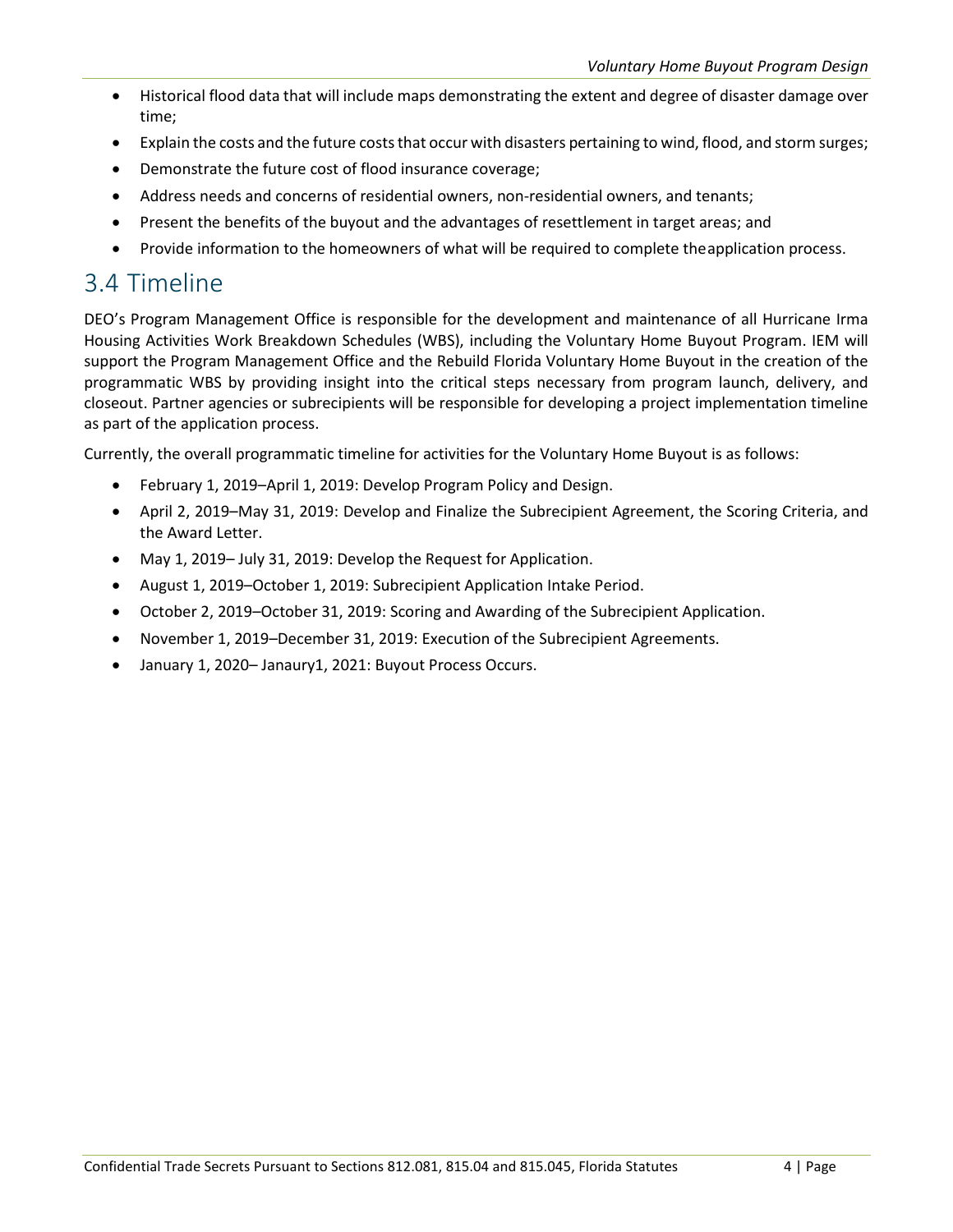- Historical flood data that will include maps demonstrating the extent and degree of disaster damage over time;
- Explain the costs and the future costs that occur with disasters pertaining to wind, flood, and storm surges;
- Demonstrate the future cost of flood insurance coverage;
- Address needs and concerns of residential owners, non-residential owners, and tenants;
- Present the benefits of the buyout and the advantages of resettlement in target areas; and
- Provide information to the homeowners of what will be required to complete theapplication process.

#### <span id="page-8-0"></span>3.4 Timeline

DEO's Program Management Office is responsible for the development and maintenance of all Hurricane Irma Housing Activities Work Breakdown Schedules (WBS), including the Voluntary Home Buyout Program. IEM will support the Program Management Office and the Rebuild Florida Voluntary Home Buyout in the creation of the programmatic WBS by providing insight into the critical steps necessary from program launch, delivery, and closeout. Partner agencies or subrecipients will be responsible for developing a project implementation timeline as part of the application process.

Currently, the overall programmatic timeline for activities for the Voluntary Home Buyout is as follows:

- February 1, 2019–April 1, 2019: Develop Program Policy and Design.
- April 2, 2019–May 31, 2019: Develop and Finalize the Subrecipient Agreement, the Scoring Criteria, and the Award Letter.
- May 1, 2019– July 31, 2019: Develop the Request for Application.
- August 1, 2019–October 1, 2019: Subrecipient Application Intake Period.
- October 2, 2019–October 31, 2019: Scoring and Awarding of the Subrecipient Application.
- November 1, 2019–December 31, 2019: Execution of the Subrecipient Agreements.
- January 1, 2020– Janaury1, 2021: Buyout Process Occurs.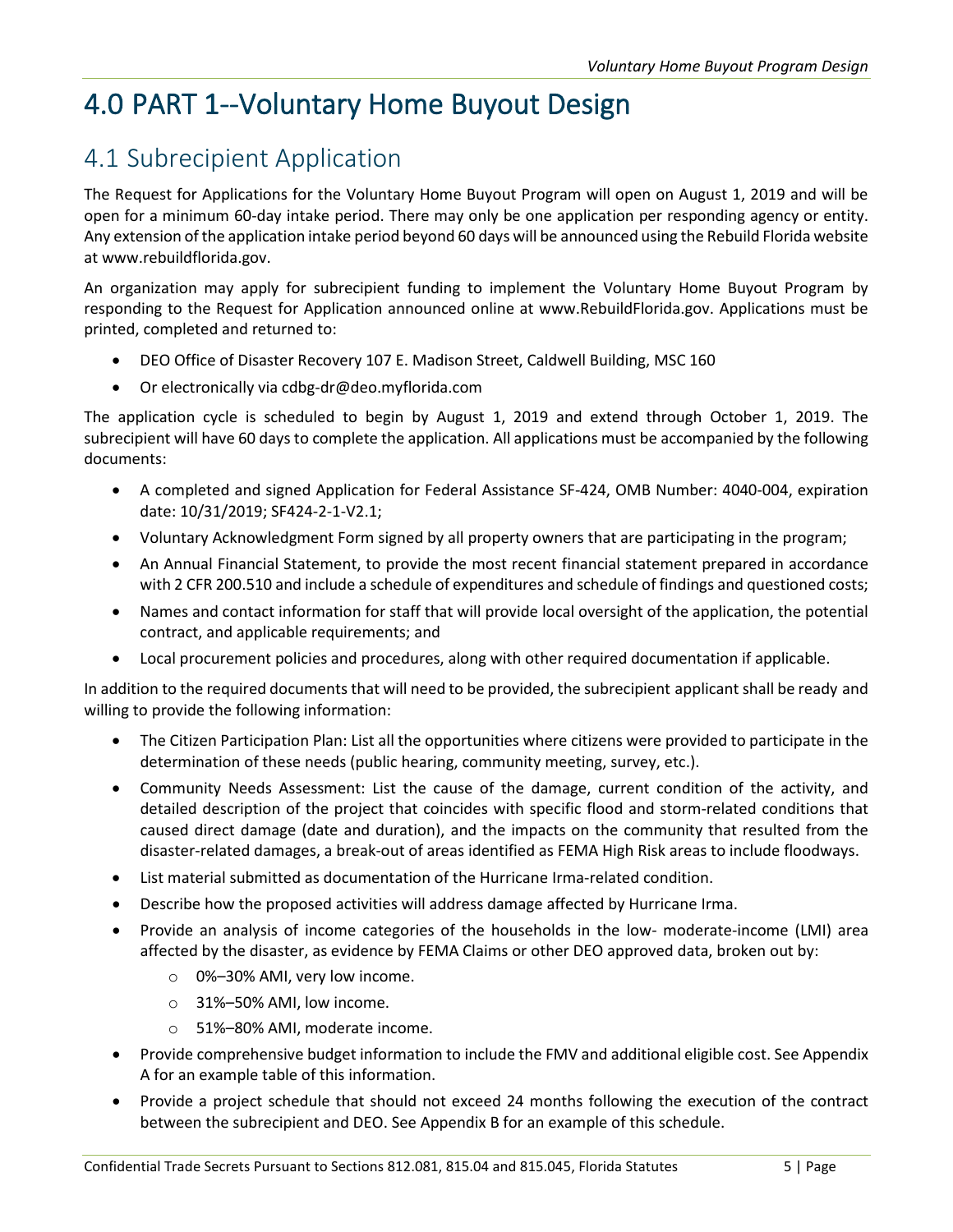## <span id="page-9-0"></span>4.0 PART 1--Voluntary Home Buyout Design

### <span id="page-9-1"></span>4.1 Subrecipient Application

The Request for Applications for the Voluntary Home Buyout Program will open on August 1, 2019 and will be open for a minimum 60-day intake period. There may only be one application per responding agency or entity. Any extension of the application intake period beyond 60 days will be announced using the Rebuild Florida website at www.rebuildflorida.gov.

An organization may apply for subrecipient funding to implement the Voluntary Home Buyout Program by responding to the Request for Application announced online at [www.RebuildFlorida.gov. A](http://www.rebuildflorida.gov/)pplications must be printed, completed and returned to:

- DEO Office of Disaster Recovery 107 E. Madison Street, Caldwell Building, MSC 160
- Or electronically via [cdbg-dr@deo.myflorida.com](mailto:cdbg-dr@deo.myflorida.com)

The application cycle is scheduled to begin by August 1, 2019 and extend through October 1, 2019. The subrecipient will have 60 days to complete the application. All applications must be accompanied by the following documents:

- A completed and signed Application for Federal Assistance SF-424, OMB Number: 4040-004, expiration date: 10/31/2019; SF424-2-1-V2.1;
- Voluntary Acknowledgment Form signed by all property owners that are participating in the program;
- An Annual Financial Statement, to provide the most recent financial statement prepared in accordance with 2 CFR 200.510 and include a schedule of expenditures and schedule of findings and questioned costs;
- Names and contact information for staff that will provide local oversight of the application, the potential contract, and applicable requirements; and
- Local procurement policies and procedures, along with other required documentation if applicable.

In addition to the required documents that will need to be provided, the subrecipient applicant shall be ready and willing to provide the following information:

- The Citizen Participation Plan: List all the opportunities where citizens were provided to participate in the determination of these needs (public hearing, community meeting, survey, etc.).
- Community Needs Assessment: List the cause of the damage, current condition of the activity, and detailed description of the project that coincides with specific flood and storm-related conditions that caused direct damage (date and duration), and the impacts on the community that resulted from the disaster-related damages, a break-out of areas identified as FEMA High Risk areas to include floodways.
- List material submitted as documentation of the Hurricane Irma-related condition.
- Describe how the proposed activities will address damage affected by Hurricane Irma.
- Provide an analysis of income categories of the households in the low- moderate-income (LMI) area affected by the disaster, as evidence by FEMA Claims or other DEO approved data, broken out by:
	- o 0%–30% AMI, very low income.
	- o 31%–50% AMI, low income.
	- o 51%–80% AMI, moderate income.
- Provide comprehensive budget information to include the FMV and additional eligible cost. See Appendix A for an example table of this information.
- Provide a project schedule that should not exceed 24 months following the execution of the contract between the subrecipient and DEO. See Appendix B for an example of this schedule.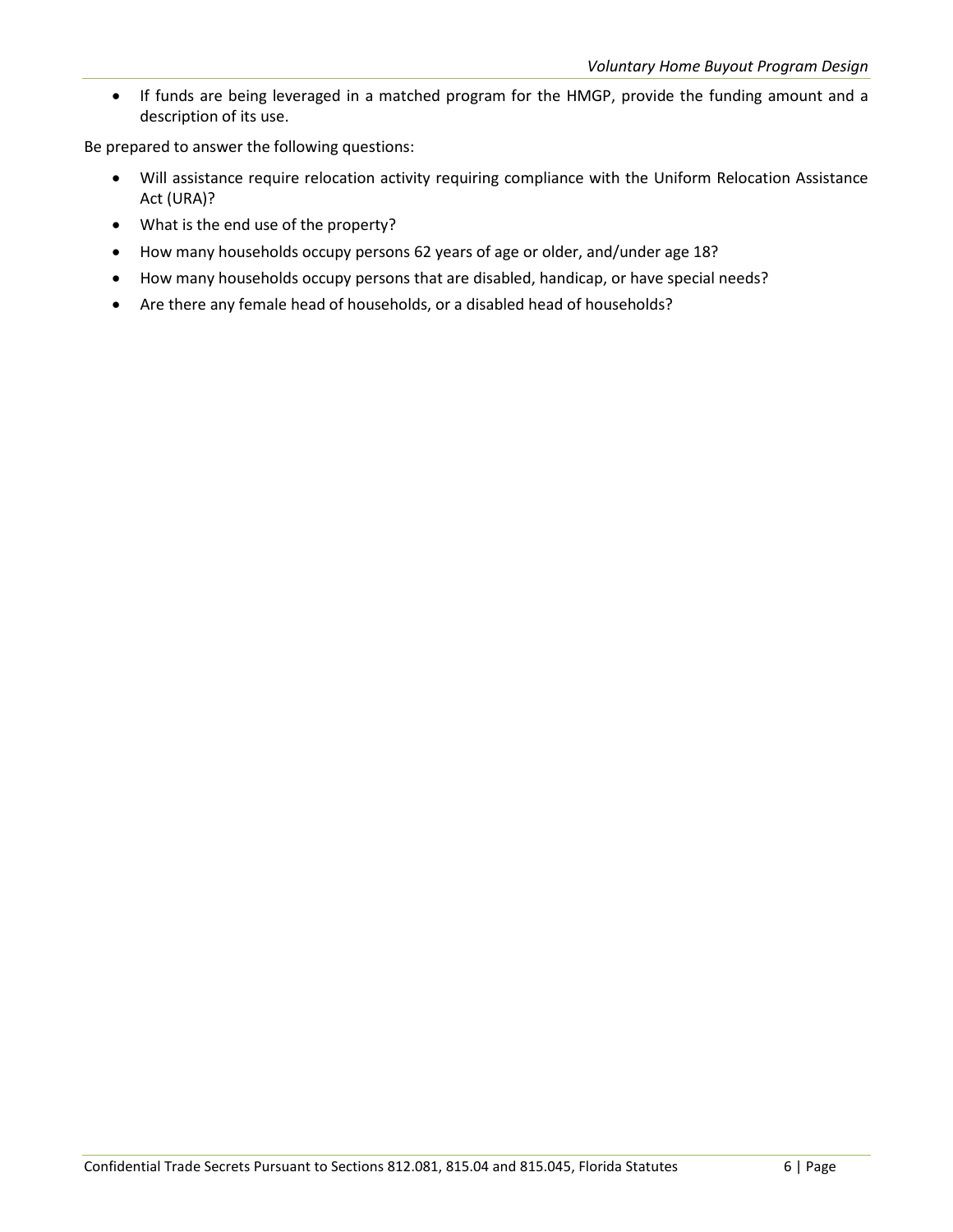• If funds are being leveraged in a matched program for the HMGP, provide the funding amount and a description of its use.

Be prepared to answer the following questions:

- Will assistance require relocation activity requiring compliance with the Uniform Relocation Assistance Act (URA)?
- What is the end use of the property?
- How many households occupy persons 62 years of age or older, and/under age 18?
- How many households occupy persons that are disabled, handicap, or have special needs?
- Are there any female head of households, or a disabled head of households?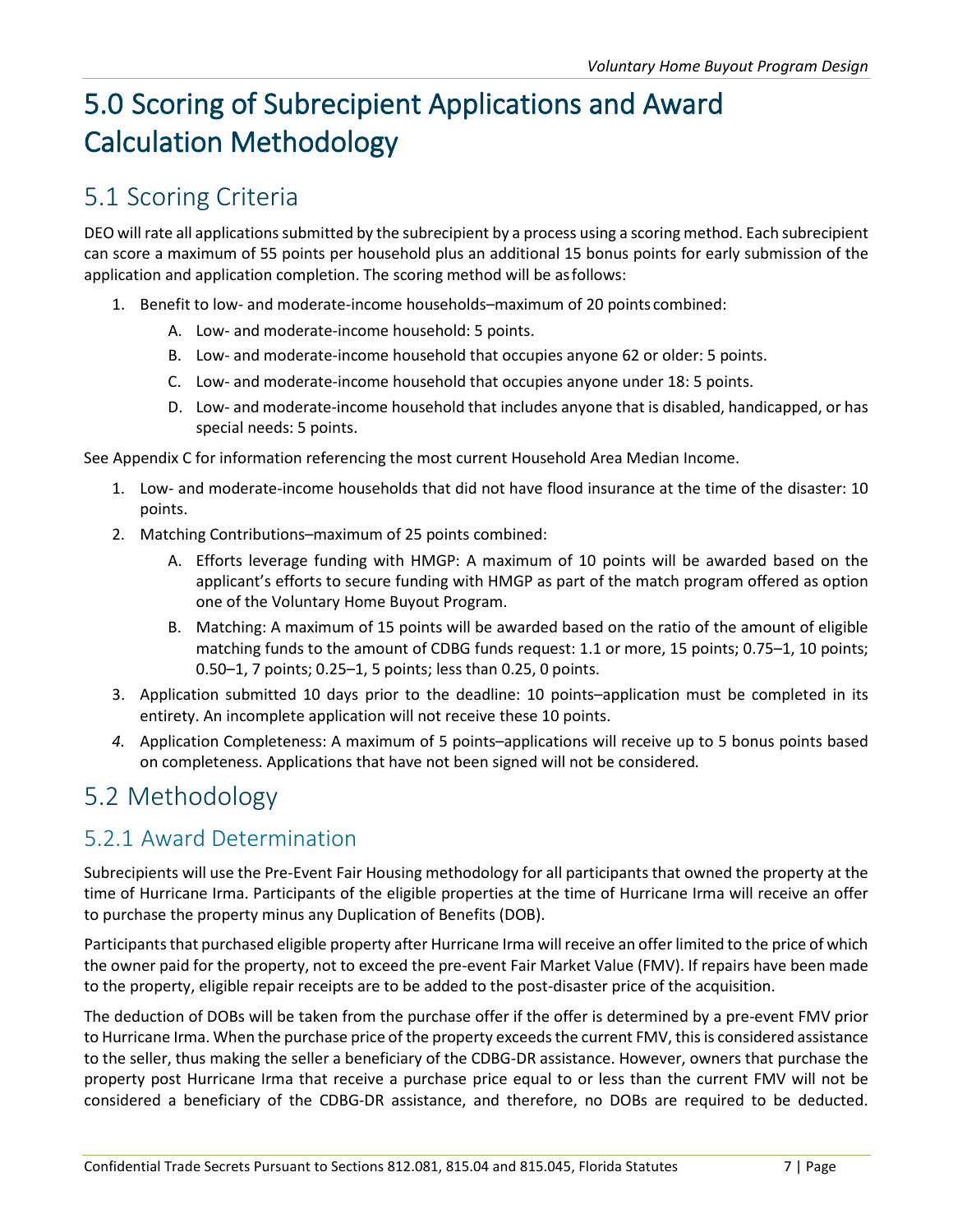## <span id="page-11-0"></span>5.0 Scoring of Subrecipient Applications and Award Calculation Methodology

### <span id="page-11-1"></span>5.1 Scoring Criteria

DEO will rate all applications submitted by the subrecipient by a process using a scoring method. Each subrecipient can score a maximum of 55 points per household plus an additional 15 bonus points for early submission of the application and application completion. The scoring method will be asfollows:

- 1. Benefit to low- and moderate-income households–maximum of 20 points combined:
	- A. Low- and moderate-income household: 5 points.
	- B. Low- and moderate-income household that occupies anyone 62 or older: 5 points.
	- C. Low- and moderate-income household that occupies anyone under 18: 5 points.
	- D. Low- and moderate-income household that includes anyone that is disabled, handicapped, or has special needs: 5 points.

See Appendix C for information referencing the most current Household Area Median Income.

- 1. Low- and moderate-income households that did not have flood insurance at the time of the disaster: 10 points.
- 2. Matching Contributions–maximum of 25 points combined:
	- A. Efforts leverage funding with HMGP: A maximum of 10 points will be awarded based on the applicant's efforts to secure funding with HMGP as part of the match program offered as option one of the Voluntary Home Buyout Program.
	- B. Matching: A maximum of 15 points will be awarded based on the ratio of the amount of eligible matching funds to the amount of CDBG funds request: 1.1 or more, 15 points; 0.75–1, 10 points; 0.50–1, 7 points; 0.25–1, 5 points; less than 0.25, 0 points.
- 3. Application submitted 10 days prior to the deadline: 10 points–application must be completed in its entirety. An incomplete application will not receive these 10 points.
- *4.* Application Completeness: A maximum of 5 points–applications will receive up to 5 bonus points based on completeness. Applications that have not been signed will not be considered*.*

### <span id="page-11-2"></span>5.2 Methodology

#### <span id="page-11-3"></span>5.2.1 Award Determination

Subrecipients will use the Pre-Event Fair Housing methodology for all participants that owned the property at the time of Hurricane Irma. Participants of the eligible properties at the time of Hurricane Irma will receive an offer to purchase the property minus any Duplication of Benefits (DOB).

Participants that purchased eligible property after Hurricane Irma will receive an offer limited to the price of which the owner paid for the property, not to exceed the pre-event Fair Market Value (FMV). If repairs have been made to the property, eligible repair receipts are to be added to the post-disaster price of the acquisition.

The deduction of DOBs will be taken from the purchase offer if the offer is determined by a pre-event FMV prior to Hurricane Irma. When the purchase price of the property exceeds the current FMV, this is considered assistance to the seller, thus making the seller a beneficiary of the CDBG-DR assistance. However, owners that purchase the property post Hurricane Irma that receive a purchase price equal to or less than the current FMV will not be considered a beneficiary of the CDBG-DR assistance, and therefore, no DOBs are required to be deducted.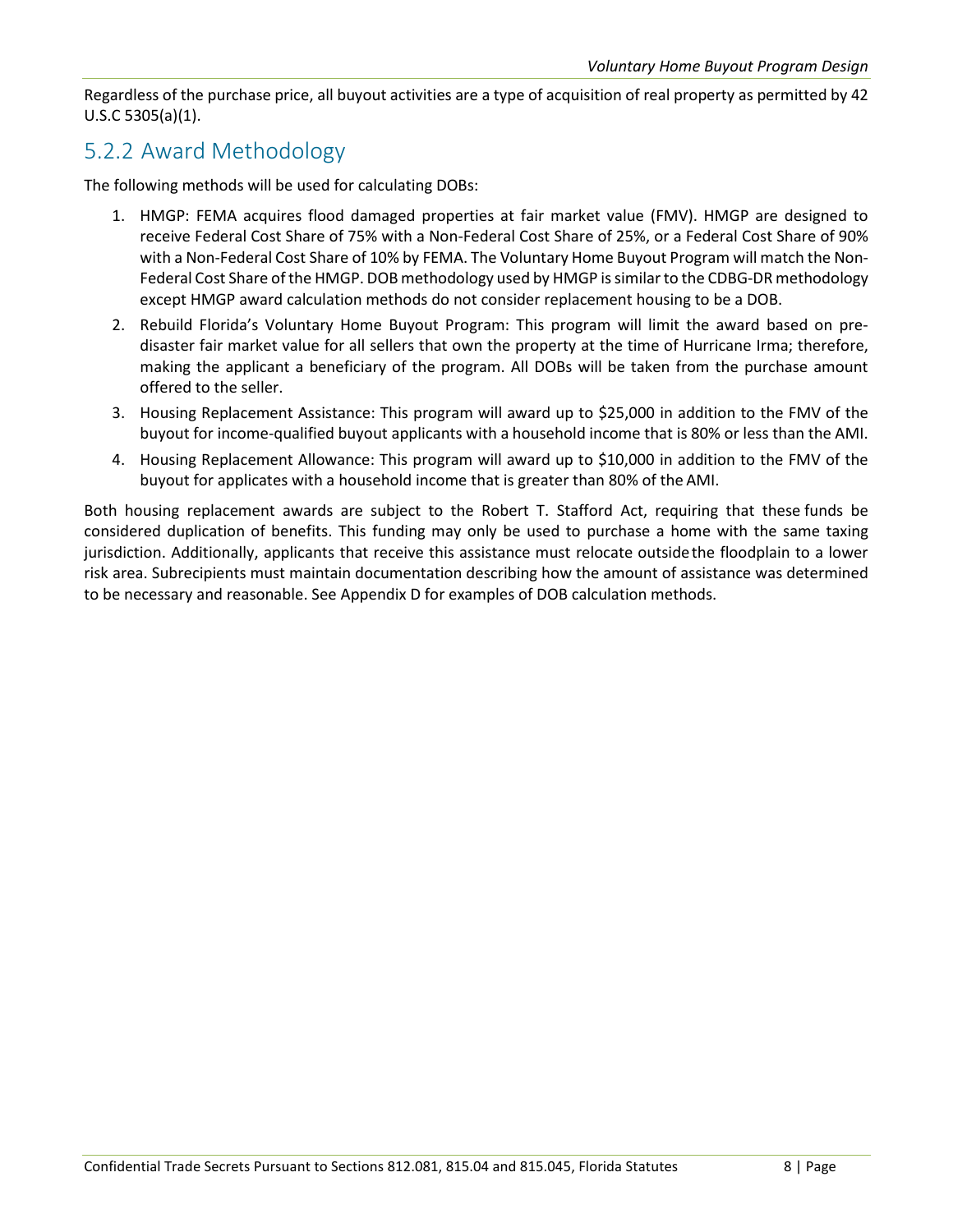Regardless of the purchase price, all buyout activities are a type of acquisition of real property as permitted by 42 U.S.C 5305(a)(1).

#### <span id="page-12-0"></span>5.2.2 Award Methodology

The following methods will be used for calculating DOBs:

- 1. HMGP: FEMA acquires flood damaged properties at fair market value (FMV). HMGP are designed to receive Federal Cost Share of 75% with a Non-Federal Cost Share of 25%, or a Federal Cost Share of 90% with a Non-Federal Cost Share of 10% by FEMA. The Voluntary Home Buyout Program will match the Non-Federal Cost Share of the HMGP. DOB methodology used by HMGP is similar to the CDBG-DR methodology except HMGP award calculation methods do not consider replacement housing to be a DOB.
- 2. Rebuild Florida's Voluntary Home Buyout Program: This program will limit the award based on predisaster fair market value for all sellers that own the property at the time of Hurricane Irma; therefore, making the applicant a beneficiary of the program. All DOBs will be taken from the purchase amount offered to the seller.
- 3. Housing Replacement Assistance: This program will award up to \$25,000 in addition to the FMV of the buyout for income-qualified buyout applicants with a household income that is 80% or less than the AMI.
- 4. Housing Replacement Allowance: This program will award up to \$10,000 in addition to the FMV of the buyout for applicates with a household income that is greater than 80% of the AMI.

Both housing replacement awards are subject to the Robert T. Stafford Act, requiring that these funds be considered duplication of benefits. This funding may only be used to purchase a home with the same taxing jurisdiction. Additionally, applicants that receive this assistance must relocate outsidethe floodplain to a lower risk area. Subrecipients must maintain documentation describing how the amount of assistance was determined to be necessary and reasonable. See Appendix D for examples of DOB calculation methods.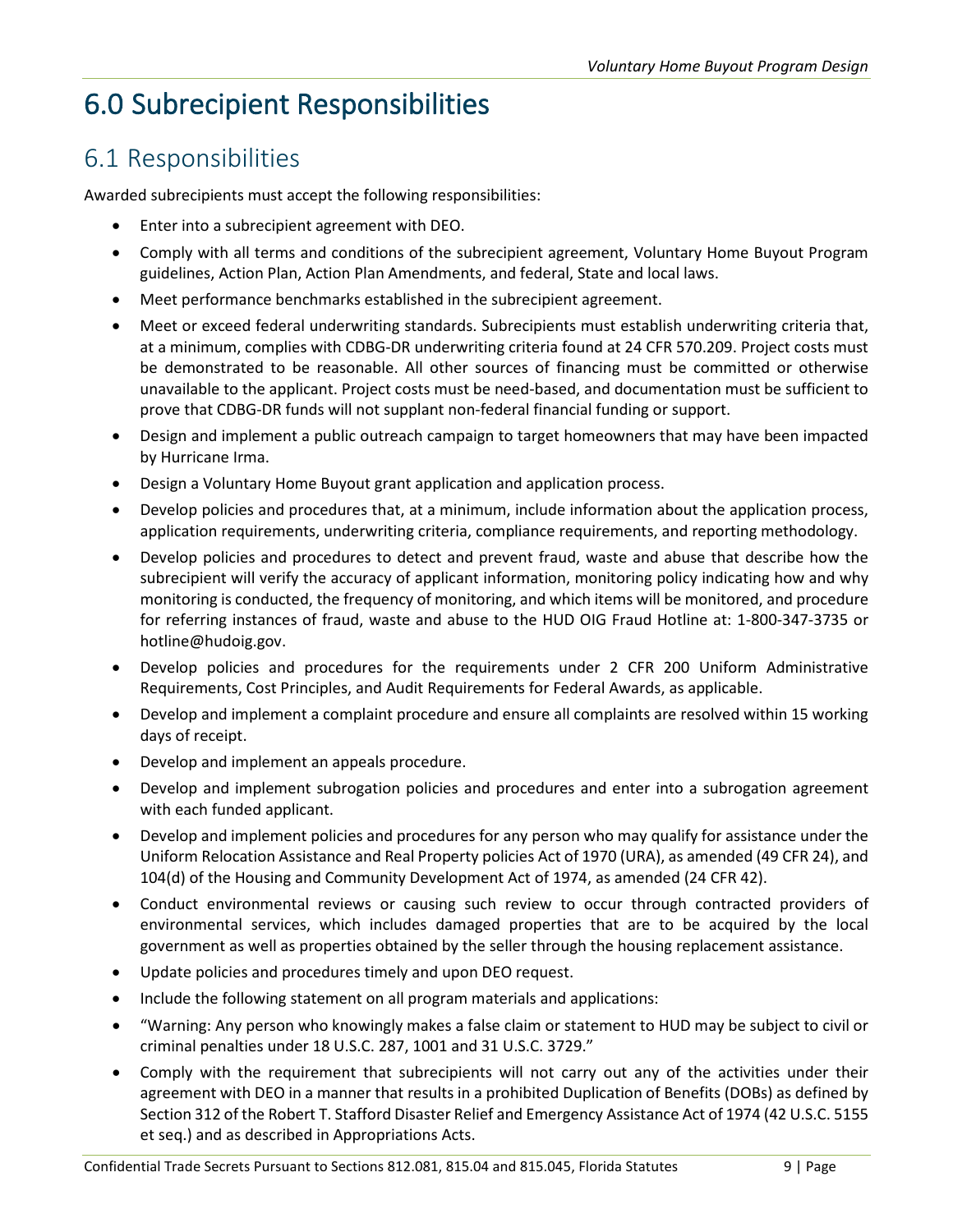### <span id="page-13-0"></span>6.0 Subrecipient Responsibilities

### <span id="page-13-1"></span>6.1 Responsibilities

Awarded subrecipients must accept the following responsibilities:

- Enter into a subrecipient agreement with DEO.
- Comply with all terms and conditions of the subrecipient agreement, Voluntary Home Buyout Program guidelines, Action Plan, Action Plan Amendments, and federal, State and local laws.
- Meet performance benchmarks established in the subrecipient agreement.
- Meet or exceed federal underwriting standards. Subrecipients must establish underwriting criteria that, at a minimum, complies with CDBG-DR underwriting criteria found at 24 CFR 570.209. Project costs must be demonstrated to be reasonable. All other sources of financing must be committed or otherwise unavailable to the applicant. Project costs must be need-based, and documentation must be sufficient to prove that CDBG-DR funds will not supplant non-federal financial funding or support.
- Design and implement a public outreach campaign to target homeowners that may have been impacted by Hurricane Irma.
- Design a Voluntary Home Buyout grant application and application process.
- Develop policies and procedures that, at a minimum, include information about the application process, application requirements, underwriting criteria, compliance requirements, and reporting methodology.
- Develop policies and procedures to detect and prevent fraud, waste and abuse that describe how the subrecipient will verify the accuracy of applicant information, monitoring policy indicating how and why monitoring is conducted, the frequency of monitoring, and which items will be monitored, and procedure for referring instances of fraud, waste and abuse to the HUD OIG Fraud Hotline at: 1-800-347-3735 or [hotline@hudoig.gov.](mailto:hotline@hudoig.gov)
- Develop policies and procedures for the requirements under 2 CFR 200 Uniform Administrative Requirements, Cost Principles, and Audit Requirements for Federal Awards, as applicable.
- Develop and implement a complaint procedure and ensure all complaints are resolved within 15 working days of receipt.
- Develop and implement an appeals procedure.
- Develop and implement subrogation policies and procedures and enter into a subrogation agreement with each funded applicant.
- Develop and implement policies and procedures for any person who may qualify for assistance under the Uniform Relocation Assistance and Real Property policies Act of 1970 (URA), as amended (49 CFR 24), and 104(d) of the Housing and Community Development Act of 1974, as amended (24 CFR 42).
- Conduct environmental reviews or causing such review to occur through contracted providers of environmental services, which includes damaged properties that are to be acquired by the local government as well as properties obtained by the seller through the housing replacement assistance.
- Update policies and procedures timely and upon DEO request.
- Include the following statement on all program materials and applications:
- "Warning: Any person who knowingly makes a false claim or statement to HUD may be subject to civil or criminal penalties under 18 U.S.C. 287, 1001 and 31 U.S.C. 3729."
- Comply with the requirement that subrecipients will not carry out any of the activities under their agreement with DEO in a manner that results in a prohibited Duplication of Benefits (DOBs) as defined by Section 312 of the Robert T. Stafford Disaster Relief and Emergency Assistance Act of 1974 (42 U.S.C. 5155 et seq.) and as described in Appropriations Acts.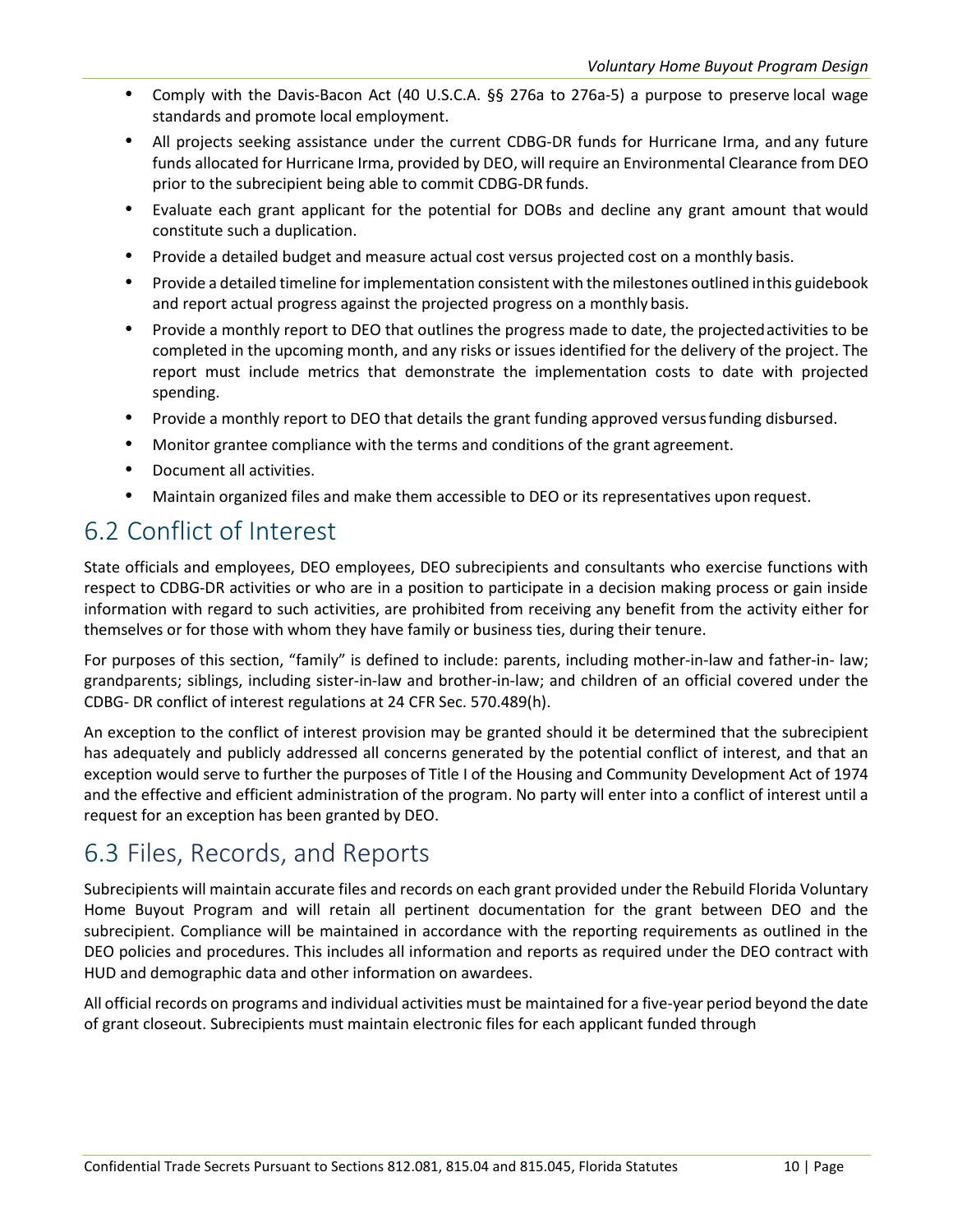- Comply with the Davis-Bacon Act (40 U.S.C.A. §§ 276a to 276a-5) a purpose to preserve local wage standards and promote local employment.
- All projects seeking assistance under the current CDBG-DR funds for Hurricane Irma, and any future funds allocated for Hurricane Irma, provided by DEO, will require an Environmental Clearance from DEO prior to the subrecipient being able to commit CDBG-DR funds.
- Evaluate each grant applicant for the potential for DOBs and decline any grant amount that would constitute such a duplication.
- Provide a detailed budget and measure actual cost versus projected cost on a monthly basis.
- Provide a detailed timeline for implementation consistent with the milestones outlined inthis guidebook and report actual progress against the projected progress on a monthly basis.
- Provide a monthly report to DEO that outlines the progress made to date, the projectedactivities to be completed in the upcoming month, and any risks or issues identified for the delivery of the project. The report must include metrics that demonstrate the implementation costs to date with projected spending.
- Provide a monthly report to DEO that details the grant funding approved versusfunding disbursed.
- Monitor grantee compliance with the terms and conditions of the grant agreement.
- Document all activities.
- Maintain organized files and make them accessible to DEO or its representatives upon request.

### <span id="page-14-0"></span>6.2 Conflict of Interest

State officials and employees, DEO employees, DEO subrecipients and consultants who exercise functions with respect to CDBG-DR activities or who are in a position to participate in a decision making process or gain inside information with regard to such activities, are prohibited from receiving any benefit from the activity either for themselves or for those with whom they have family or business ties, during their tenure.

For purposes of this section, "family" is defined to include: parents, including mother-in-law and father-in- law; grandparents; siblings, including sister-in-law and brother-in-law; and children of an official covered under the CDBG- DR conflict of interest regulations at 24 CFR Sec. 570.489(h).

An exception to the conflict of interest provision may be granted should it be determined that the subrecipient has adequately and publicly addressed all concerns generated by the potential conflict of interest, and that an exception would serve to further the purposes of Title I of the Housing and Community Development Act of 1974 and the effective and efficient administration of the program. No party will enter into a conflict of interest until a request for an exception has been granted by DEO.

### <span id="page-14-1"></span>6.3 Files, Records, and Reports

Subrecipients will maintain accurate files and records on each grant provided under the Rebuild Florida Voluntary Home Buyout Program and will retain all pertinent documentation for the grant between DEO and the subrecipient. Compliance will be maintained in accordance with the reporting requirements as outlined in the DEO policies and procedures. This includes all information and reports as required under the DEO contract with HUD and demographic data and other information on awardees.

All official records on programs and individual activities must be maintained for a five-year period beyond the date of grant closeout. Subrecipients must maintain electronic files for each applicant funded through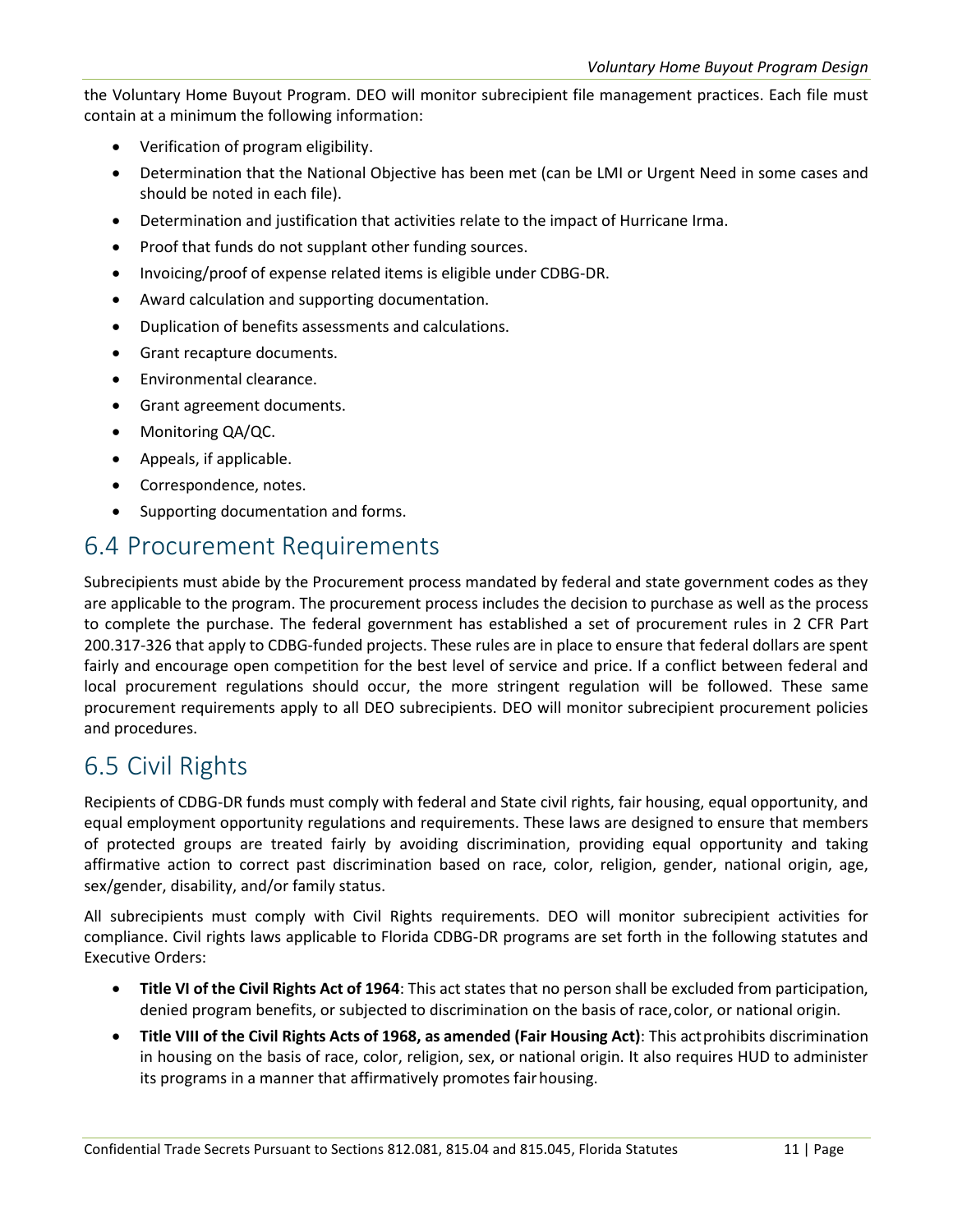the Voluntary Home Buyout Program. DEO will monitor subrecipient file management practices. Each file must contain at a minimum the following information:

- Verification of program eligibility.
- Determination that the National Objective has been met (can be LMI or Urgent Need in some cases and should be noted in each file).
- Determination and justification that activities relate to the impact of Hurricane Irma.
- Proof that funds do not supplant other funding sources.
- Invoicing/proof of expense related items is eligible under CDBG-DR.
- Award calculation and supporting documentation.
- Duplication of benefits assessments and calculations.
- Grant recapture documents.
- Environmental clearance.
- Grant agreement documents.
- Monitoring QA/QC.
- Appeals, if applicable.
- Correspondence, notes.
- Supporting documentation and forms.

#### <span id="page-15-0"></span>6.4 Procurement Requirements

Subrecipients must abide by the Procurement process mandated by federal and state government codes as they are applicable to the program. The procurement process includes the decision to purchase as well as the process to complete the purchase. The federal government has established a set of procurement rules in 2 CFR Part 200.317-326 that apply to CDBG-funded projects. These rules are in place to ensure that federal dollars are spent fairly and encourage open competition for the best level of service and price. If a conflict between federal and local procurement regulations should occur, the more stringent regulation will be followed. These same procurement requirements apply to all DEO subrecipients. DEO will monitor subrecipient procurement policies and procedures.

#### <span id="page-15-1"></span>6.5 Civil Rights

Recipients of CDBG-DR funds must comply with federal and State civil rights, fair housing, equal opportunity, and equal employment opportunity regulations and requirements. These laws are designed to ensure that members of protected groups are treated fairly by avoiding discrimination, providing equal opportunity and taking affirmative action to correct past discrimination based on race, color, religion, gender, national origin, age, sex/gender, disability, and/or family status.

All subrecipients must comply with Civil Rights requirements. DEO will monitor subrecipient activities for compliance. Civil rights laws applicable to Florida CDBG-DR programs are set forth in the following statutes and Executive Orders:

- **Title VI of the Civil Rights Act of 1964**: This act states that no person shall be excluded from participation, denied program benefits, or subjected to discrimination on the basis of race,color, or national origin.
- **Title VIII of the Civil Rights Acts of 1968, as amended (Fair Housing Act)**: This actprohibits discrimination in housing on the basis of race, color, religion, sex, or national origin. It also requires HUD to administer its programs in a manner that affirmatively promotes fair housing.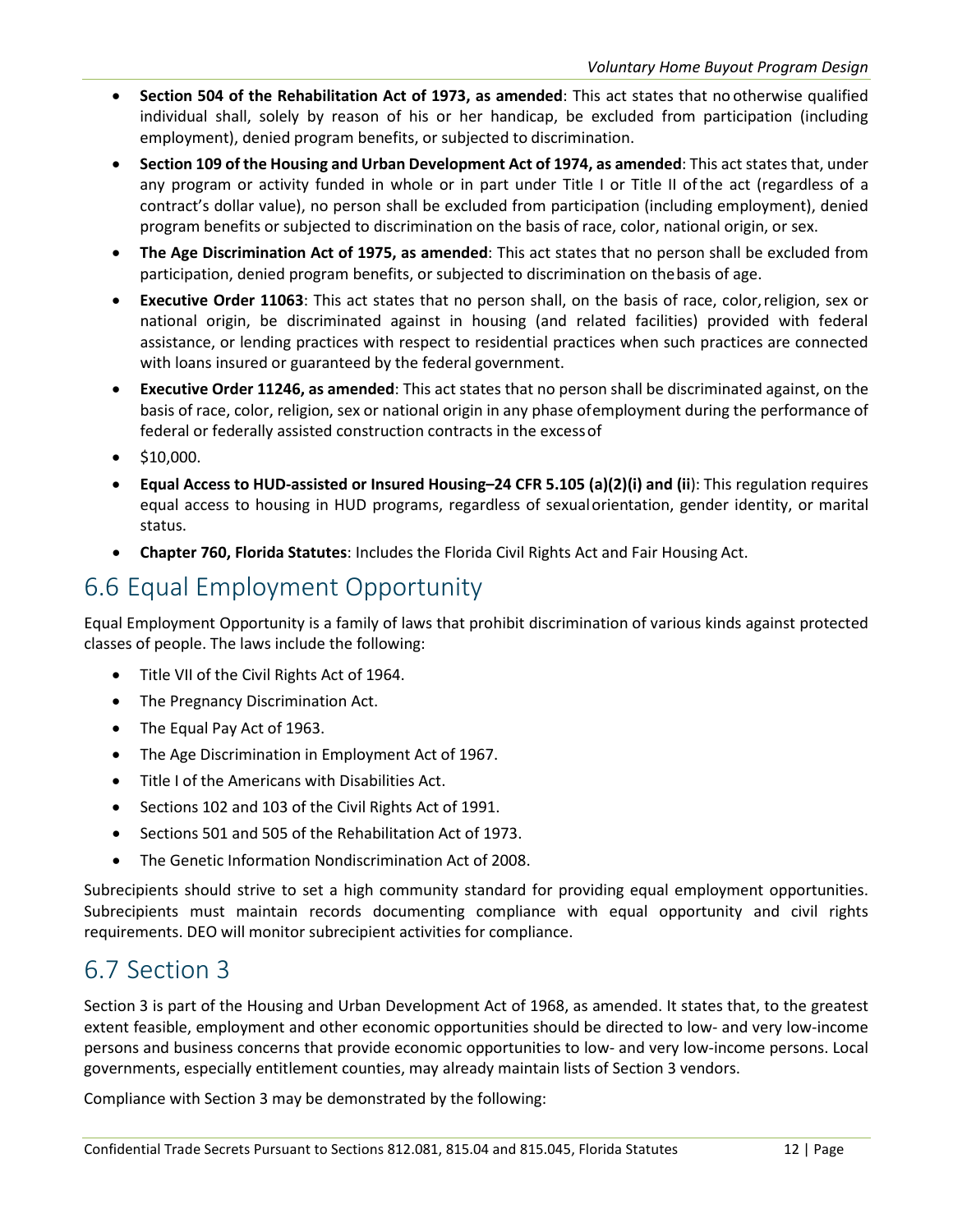- **Section 504 of the Rehabilitation Act of 1973, as amended**: This act states that no otherwise qualified individual shall, solely by reason of his or her handicap, be excluded from participation (including employment), denied program benefits, or subjected to discrimination.
- **Section 109 of the Housing and Urban Development Act of 1974, as amended**: This act states that, under any program or activity funded in whole or in part under Title I or Title II ofthe act (regardless of a contract's dollar value), no person shall be excluded from participation (including employment), denied program benefits or subjected to discrimination on the basis of race, color, national origin, or sex.
- **The Age Discrimination Act of 1975, as amended**: This act states that no person shall be excluded from participation, denied program benefits, or subjected to discrimination on thebasis of age.
- **Executive Order 11063**: This act states that no person shall, on the basis of race, color,religion, sex or national origin, be discriminated against in housing (and related facilities) provided with federal assistance, or lending practices with respect to residential practices when such practices are connected with loans insured or guaranteed by the federal government.
- **Executive Order 11246, as amended**: This act states that no person shall be discriminated against, on the basis of race, color, religion, sex or national origin in any phase ofemployment during the performance of federal or federally assisted construction contracts in the excessof
- $\bullet$  \$10,000.
- **Equal Access to HUD-assisted or Insured Housing–24 CFR 5.105 (a)(2)(i) and (ii**): This regulation requires equal access to housing in HUD programs, regardless of sexualorientation, gender identity, or marital status.
- **Chapter 760, Florida Statutes**: Includes the Florida Civil Rights Act and Fair Housing Act.

### <span id="page-16-0"></span>6.6 Equal Employment Opportunity

Equal Employment Opportunity is a family of laws that prohibit discrimination of various kinds against protected classes of people. The laws include the following:

- Title VII of the Civil Rights Act of 1964.
- The Pregnancy Discrimination Act.
- The Equal Pay Act of 1963.
- The Age Discrimination in Employment Act of 1967.
- Title I of the Americans with Disabilities Act.
- Sections 102 and 103 of the Civil Rights Act of 1991.
- Sections 501 and 505 of the Rehabilitation Act of 1973.
- The Genetic Information Nondiscrimination Act of 2008.

Subrecipients should strive to set a high community standard for providing equal employment opportunities. Subrecipients must maintain records documenting compliance with equal opportunity and civil rights requirements. DEO will monitor subrecipient activities for compliance.

### <span id="page-16-1"></span>6.7 Section 3

Section 3 is part of the Housing and Urban Development Act of 1968, as amended. It states that, to the greatest extent feasible, employment and other economic opportunities should be directed to low- and very low-income persons and business concerns that provide economic opportunities to low- and very low-income persons. Local governments, especially entitlement counties, may already maintain lists of Section 3 vendors.

Compliance with Section 3 may be demonstrated by the following: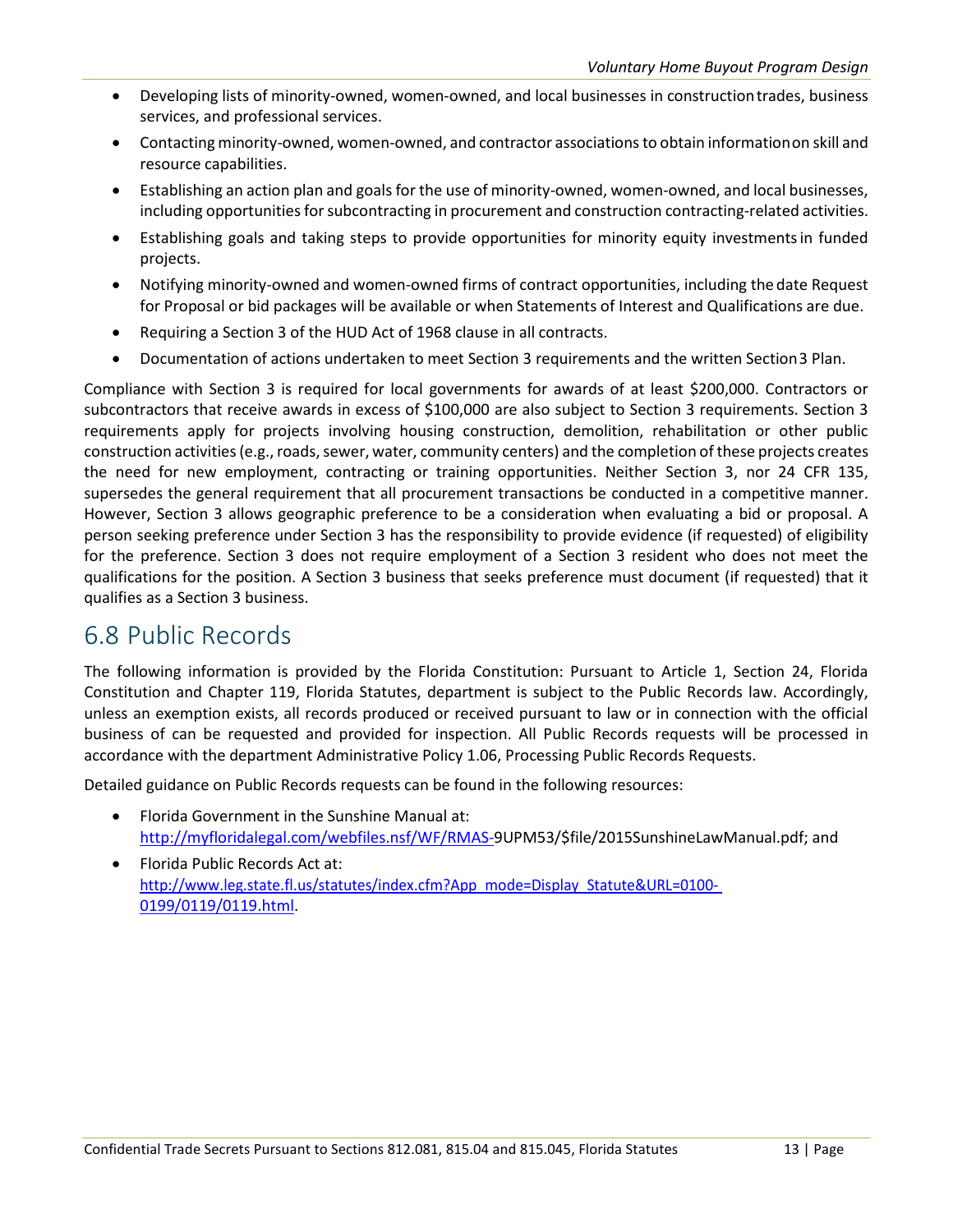- Developing lists of minority-owned, women-owned, and local businesses in constructiontrades, business services, and professional services.
- Contacting minority-owned, women-owned, and contractor associations to obtain informationon skill and resource capabilities.
- Establishing an action plan and goals for the use of minority-owned, women-owned, and local businesses, including opportunities for subcontracting in procurement and construction contracting-related activities.
- Establishing goals and taking steps to provide opportunities for minority equity investmentsin funded projects.
- Notifying minority-owned and women-owned firms of contract opportunities, including the date Request for Proposal or bid packages will be available or when Statements of Interest and Qualifications are due.
- Requiring a Section 3 of the HUD Act of 1968 clause in all contracts.
- Documentation of actions undertaken to meet Section 3 requirements and the written Section3 Plan.

Compliance with Section 3 is required for local governments for awards of at least \$200,000. Contractors or subcontractors that receive awards in excess of \$100,000 are also subject to Section 3 requirements. Section 3 requirements apply for projects involving housing construction, demolition, rehabilitation or other public construction activities (e.g., roads, sewer, water, community centers) and the completion of these projects creates the need for new employment, contracting or training opportunities. Neither Section 3, nor 24 CFR 135, supersedes the general requirement that all procurement transactions be conducted in a competitive manner. However, Section 3 allows geographic preference to be a consideration when evaluating a bid or proposal. A person seeking preference under Section 3 has the responsibility to provide evidence (if requested) of eligibility for the preference. Section 3 does not require employment of a Section 3 resident who does not meet the qualifications for the position. A Section 3 business that seeks preference must document (if requested) that it qualifies as a Section 3 business.

#### <span id="page-17-0"></span>6.8 Public Records

The following information is provided by the Florida Constitution: Pursuant to Article 1, Section 24, Florida Constitution and Chapter 119, Florida Statutes, department is subject to the Public Records law. Accordingly, unless an exemption exists, all records produced or received pursuant to law or in connection with the official business of can be requested and provided for inspection. All Public Records requests will be processed in accordance with the department Administrative Policy 1.06, Processing Public Records Requests.

Detailed guidance on Public Records requests can be found in the following resources:

- Florida Government in the Sunshine Manual at: <http://myfloridalegal.com/webfiles.nsf/WF/RMAS->[9UPM53/\\$file/2015SunshineLawManual.pdf;](http://myfloridalegal.com/webfiles.nsf/WF/RMAS-9UPM53/%24file/2015SunshineLawManual.pdf) and
- Florida Public Records Act at: [http://www.leg.state.fl.us/statutes/index.cfm?App\\_mode=Display\\_Statute&URL=0100-](http://www.leg.state.fl.us/statutes/index.cfm?App_mode=Display_Statute&URL=0100-) 0199/0119/0119.html.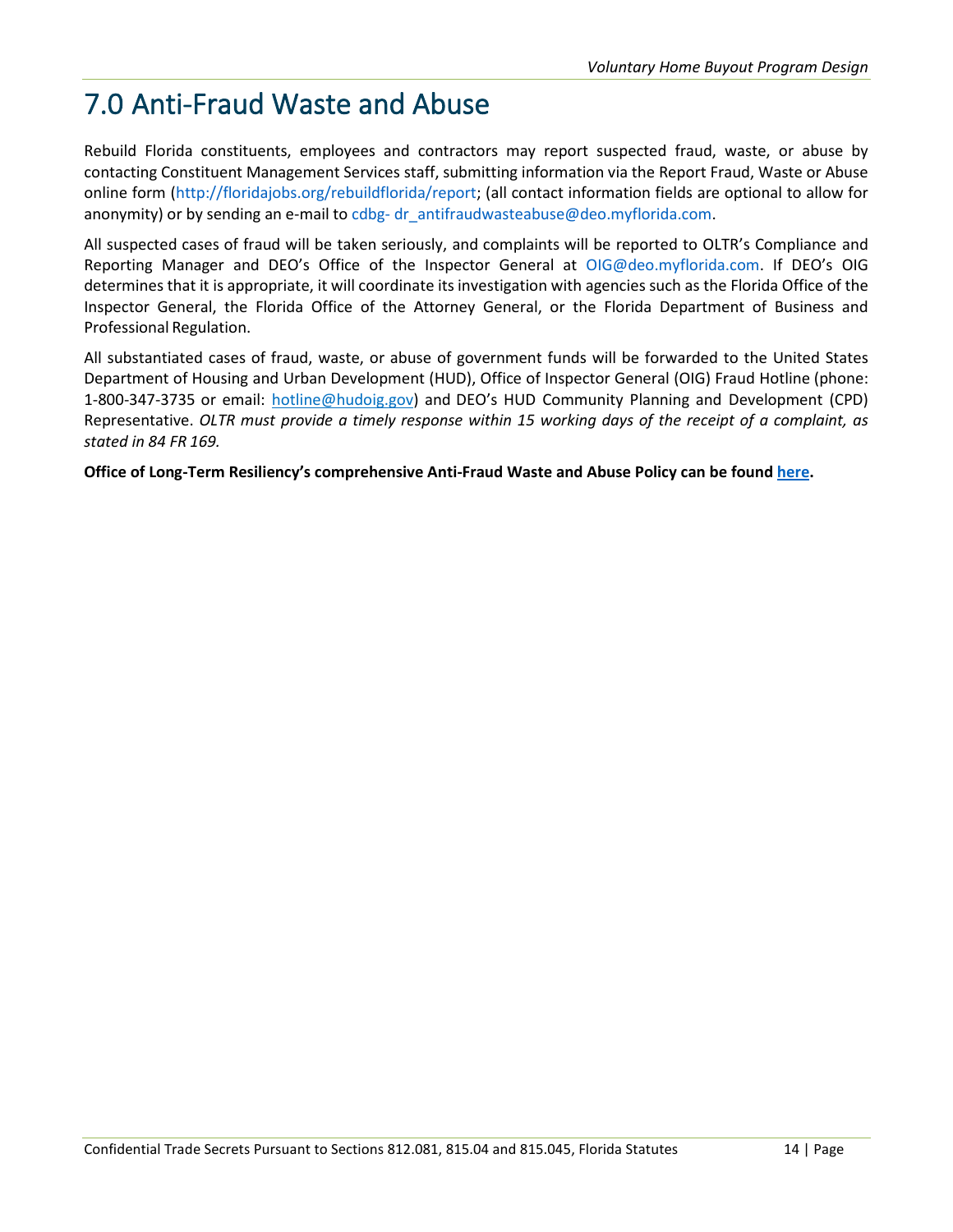### <span id="page-18-0"></span>7.0 Anti-Fraud Waste and Abuse

Rebuild Florida constituents, employees and contractors may report suspected fraud, waste, or abuse by contacting Constituent Management Services staff, submitting information via the Report Fraud, Waste or Abuse online form [\(http://floridajobs.org/rebuildflorida/report;](http://floridajobs.org/rebuildflorida/report) (all contact information fields are optional to allow for anonymity) or by sending an e-mail to cdbg- [dr\\_antifraudwasteabuse@deo.myflorida.com.](mailto:cdbg-dr_antifraudwasteabuse@deo.myflorida.com)

All suspected cases of fraud will be taken seriously, and complaints will be reported to OLTR's Compliance and Reporting Manager and DEO's Office of the Inspector General at [OIG@deo.myflorida.com.](mailto:OIG@deo.myflorida.com) If DEO's OIG determines that it is appropriate, it will coordinate its investigation with agencies such as the Florida Office of the Inspector General, the Florida Office of the Attorney General, or the Florida Department of Business and Professional Regulation.

All substantiated cases of fraud, waste, or abuse of government funds will be forwarded to the United States Department of Housing and Urban Development (HUD), Office of Inspector General (OIG) Fraud Hotline (phone: 1-800-347-3735 or email: [hotline@hudoig.gov\)](mailto:hotline@hudoig.gov) and DEO's HUD Community Planning and Development (CPD) Representative. *OLTR must provide a timely response within 15 working days of the receipt of a complaint, as stated in 84 FR 169.*

**Office of Long-Term Resiliency's comprehensive Anti-Fraud Waste and Abuse Policy can be found [here.](http://www.floridajobs.org/docs/default-source/office-of-disaster-recovery/office-of-disaster-recovery-main-page/afwa-policy_updated-3-30-21.pdf?sfvrsn=20e441b0_8)**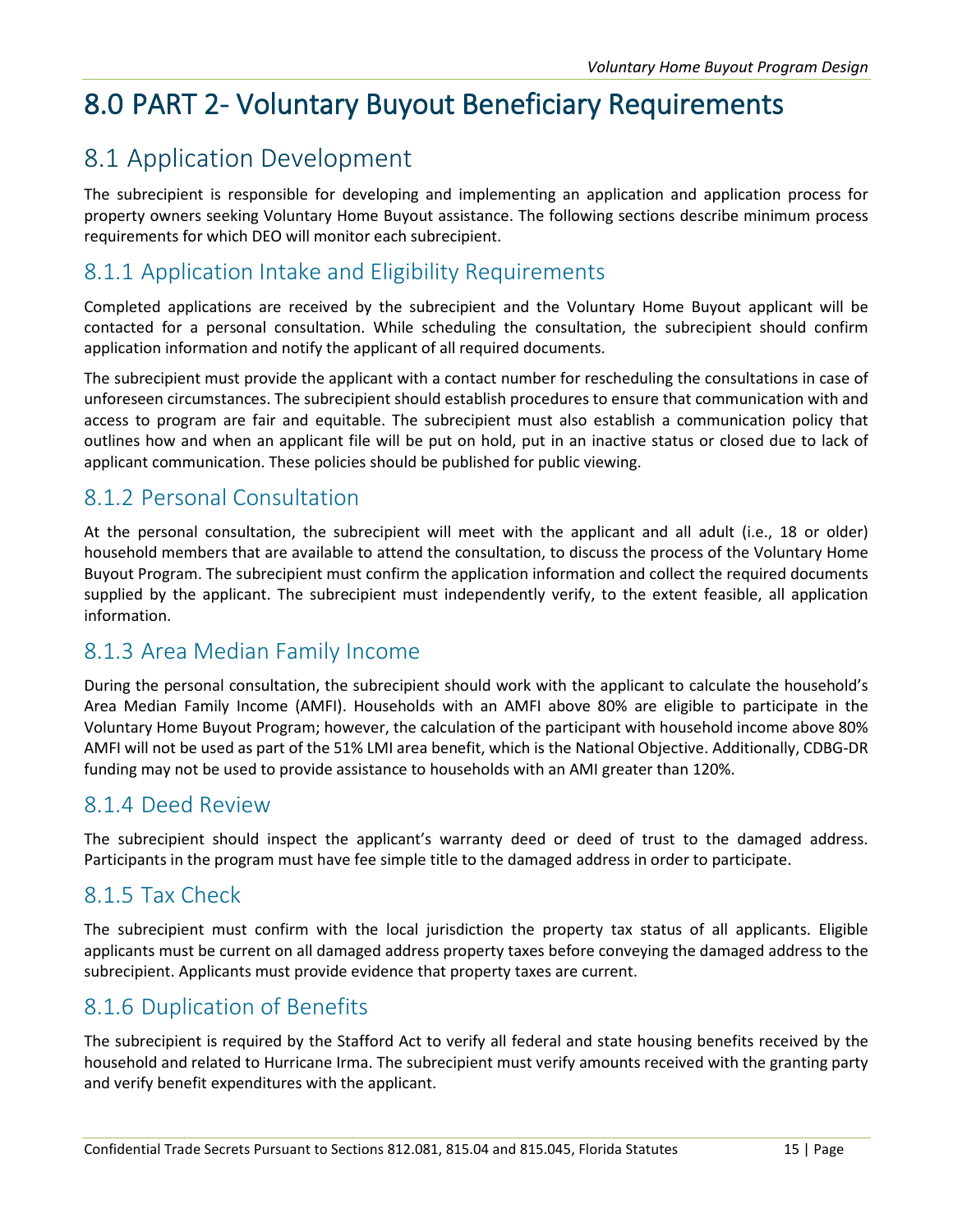## <span id="page-19-0"></span>8.0 PART 2- Voluntary Buyout Beneficiary Requirements

### <span id="page-19-1"></span>8.1 Application Development

The subrecipient is responsible for developing and implementing an application and application process for property owners seeking Voluntary Home Buyout assistance. The following sections describe minimum process requirements for which DEO will monitor each subrecipient.

#### <span id="page-19-2"></span>8.1.1 Application Intake and Eligibility Requirements

Completed applications are received by the subrecipient and the Voluntary Home Buyout applicant will be contacted for a personal consultation. While scheduling the consultation, the subrecipient should confirm application information and notify the applicant of all required documents.

The subrecipient must provide the applicant with a contact number for rescheduling the consultations in case of unforeseen circumstances. The subrecipient should establish procedures to ensure that communication with and access to program are fair and equitable. The subrecipient must also establish a communication policy that outlines how and when an applicant file will be put on hold, put in an inactive status or closed due to lack of applicant communication. These policies should be published for public viewing.

#### <span id="page-19-3"></span>8.1.2 Personal Consultation

At the personal consultation, the subrecipient will meet with the applicant and all adult (i.e., 18 or older) household members that are available to attend the consultation, to discuss the process of the Voluntary Home Buyout Program. The subrecipient must confirm the application information and collect the required documents supplied by the applicant. The subrecipient must independently verify, to the extent feasible, all application information.

#### <span id="page-19-4"></span>8.1.3 Area Median Family Income

During the personal consultation, the subrecipient should work with the applicant to calculate the household's Area Median Family Income (AMFI). Households with an AMFI above 80% are eligible to participate in the Voluntary Home Buyout Program; however, the calculation of the participant with household income above 80% AMFI will not be used as part of the 51% LMI area benefit, which is the National Objective. Additionally, CDBG-DR funding may not be used to provide assistance to households with an AMI greater than 120%.

#### <span id="page-19-5"></span>8.1.4 Deed Review

The subrecipient should inspect the applicant's warranty deed or deed of trust to the damaged address. Participants in the program must have fee simple title to the damaged address in order to participate.

#### <span id="page-19-6"></span>8.1.5 Tax Check

The subrecipient must confirm with the local jurisdiction the property tax status of all applicants. Eligible applicants must be current on all damaged address property taxes before conveying the damaged address to the subrecipient. Applicants must provide evidence that property taxes are current.

#### <span id="page-19-7"></span>8.1.6 Duplication of Benefits

The subrecipient is required by the Stafford Act to verify all federal and state housing benefits received by the household and related to Hurricane Irma. The subrecipient must verify amounts received with the granting party and verify benefit expenditures with the applicant.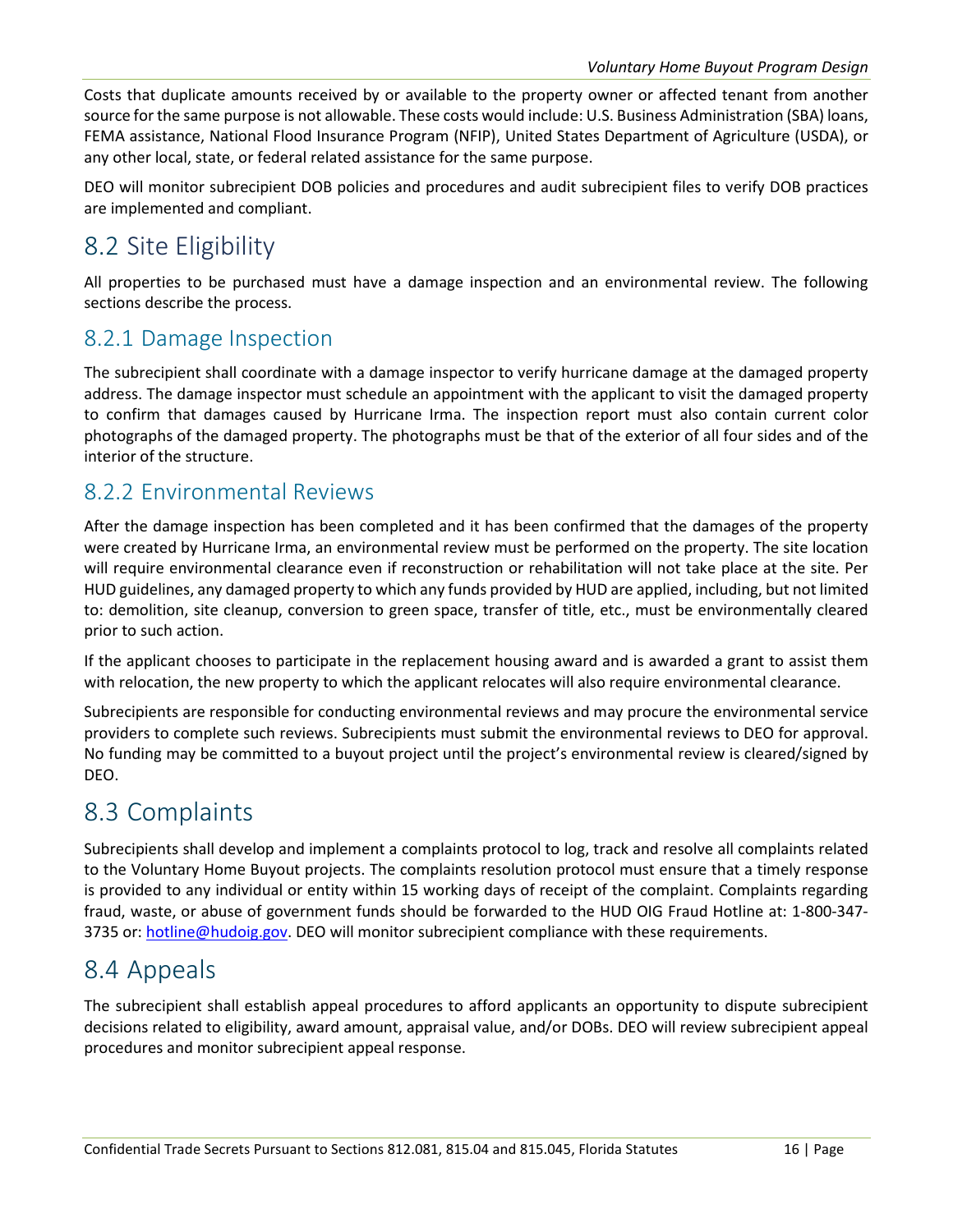Costs that duplicate amounts received by or available to the property owner or affected tenant from another source for the same purpose is not allowable. These costs would include: U.S. Business Administration (SBA) loans, FEMA assistance, National Flood Insurance Program (NFIP), United States Department of Agriculture (USDA), or any other local, state, or federal related assistance for the same purpose.

DEO will monitor subrecipient DOB policies and procedures and audit subrecipient files to verify DOB practices are implemented and compliant.

### <span id="page-20-0"></span>8.2 Site Eligibility

All properties to be purchased must have a damage inspection and an environmental review. The following sections describe the process.

#### <span id="page-20-1"></span>8.2.1 Damage Inspection

The subrecipient shall coordinate with a damage inspector to verify hurricane damage at the damaged property address. The damage inspector must schedule an appointment with the applicant to visit the damaged property to confirm that damages caused by Hurricane Irma. The inspection report must also contain current color photographs of the damaged property. The photographs must be that of the exterior of all four sides and of the interior of the structure.

#### <span id="page-20-2"></span>8.2.2 Environmental Reviews

After the damage inspection has been completed and it has been confirmed that the damages of the property were created by Hurricane Irma, an environmental review must be performed on the property. The site location will require environmental clearance even if reconstruction or rehabilitation will not take place at the site. Per HUD guidelines, any damaged property to which any funds provided by HUD are applied, including, but not limited to: demolition, site cleanup, conversion to green space, transfer of title, etc., must be environmentally cleared prior to such action.

If the applicant chooses to participate in the replacement housing award and is awarded a grant to assist them with relocation, the new property to which the applicant relocates will also require environmental clearance.

Subrecipients are responsible for conducting environmental reviews and may procure the environmental service providers to complete such reviews. Subrecipients must submit the environmental reviews to DEO for approval. No funding may be committed to a buyout project until the project's environmental review is cleared/signed by DEO.

#### <span id="page-20-3"></span>8.3 Complaints

Subrecipients shall develop and implement a complaints protocol to log, track and resolve all complaints related to the Voluntary Home Buyout projects. The complaints resolution protocol must ensure that a timely response is provided to any individual or entity within 15 working days of receipt of the complaint. Complaints regarding fraud, waste, or abuse of government funds should be forwarded to the HUD OIG Fraud Hotline at: 1-800-347 3735 or: [hotline@hudoig.gov. D](mailto:hotline@hudoig.gov)EO will monitor subrecipient compliance with these requirements.

#### <span id="page-20-4"></span>8.4 Appeals

The subrecipient shall establish appeal procedures to afford applicants an opportunity to dispute subrecipient decisions related to eligibility, award amount, appraisal value, and/or DOBs. DEO will review subrecipient appeal procedures and monitor subrecipient appeal response.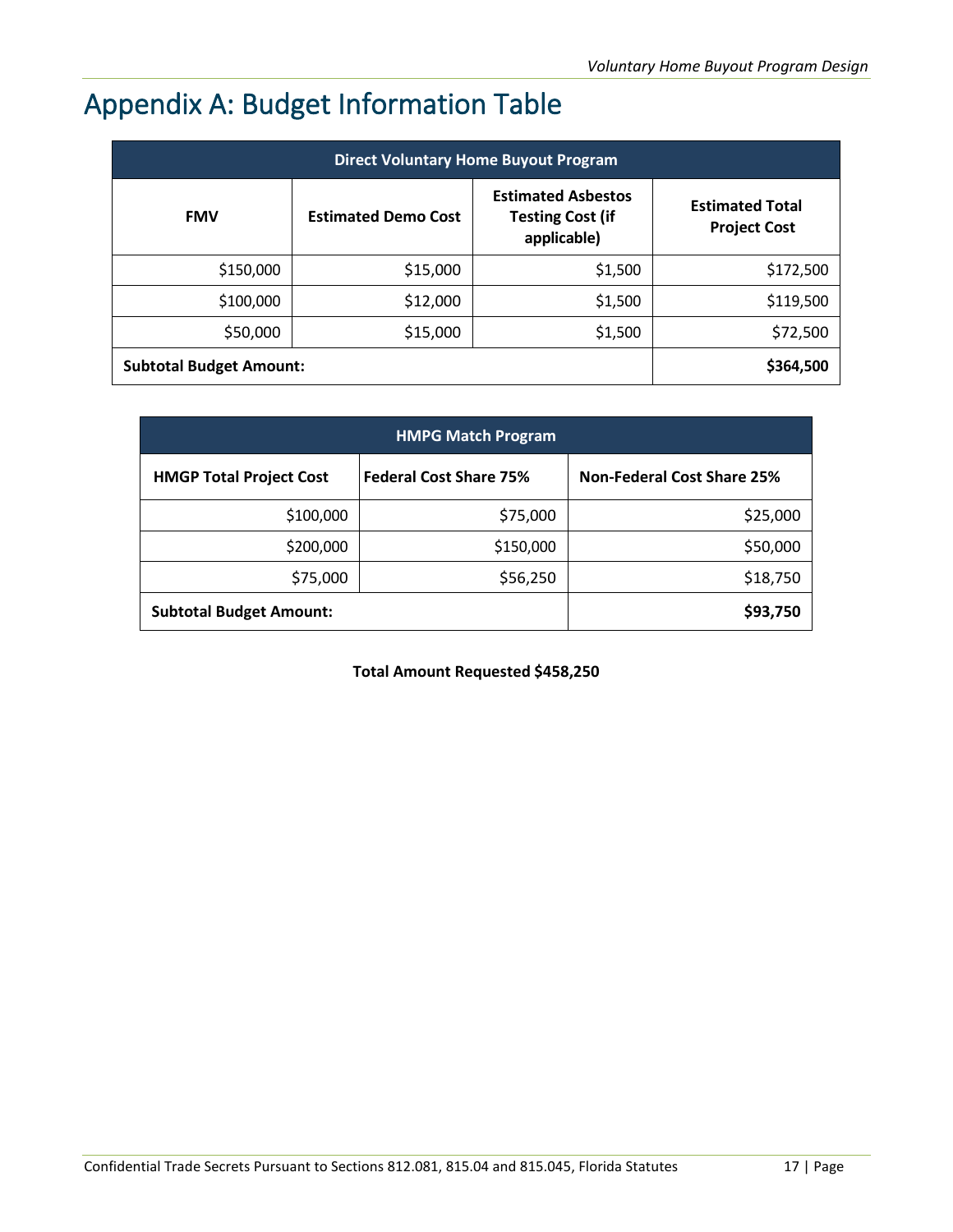## <span id="page-21-0"></span>Appendix A: Budget Information Table

| <b>Direct Voluntary Home Buyout Program</b> |                            |                                                                     |                                               |  |  |  |  |  |  |  |
|---------------------------------------------|----------------------------|---------------------------------------------------------------------|-----------------------------------------------|--|--|--|--|--|--|--|
| <b>FMV</b>                                  | <b>Estimated Demo Cost</b> | <b>Estimated Asbestos</b><br><b>Testing Cost (if</b><br>applicable) | <b>Estimated Total</b><br><b>Project Cost</b> |  |  |  |  |  |  |  |
| \$150,000                                   | \$15,000                   | \$1,500                                                             | \$172,500                                     |  |  |  |  |  |  |  |
| \$100,000                                   | \$12,000                   | \$1,500                                                             | \$119,500                                     |  |  |  |  |  |  |  |
| \$50,000                                    | \$15,000                   | \$1,500                                                             | \$72,500                                      |  |  |  |  |  |  |  |
| <b>Subtotal Budget Amount:</b>              |                            |                                                                     | \$364,500                                     |  |  |  |  |  |  |  |

| <b>HMPG Match Program</b>      |                               |                                   |  |  |  |  |  |  |  |
|--------------------------------|-------------------------------|-----------------------------------|--|--|--|--|--|--|--|
| <b>HMGP Total Project Cost</b> | <b>Federal Cost Share 75%</b> | <b>Non-Federal Cost Share 25%</b> |  |  |  |  |  |  |  |
| \$100,000                      | \$75,000                      | \$25,000                          |  |  |  |  |  |  |  |
| \$200,000                      | \$150,000                     | \$50,000                          |  |  |  |  |  |  |  |
| \$75,000                       | \$56,250                      | \$18,750                          |  |  |  |  |  |  |  |
| <b>Subtotal Budget Amount:</b> |                               | \$93,750                          |  |  |  |  |  |  |  |

**Total Amount Requested \$458,250**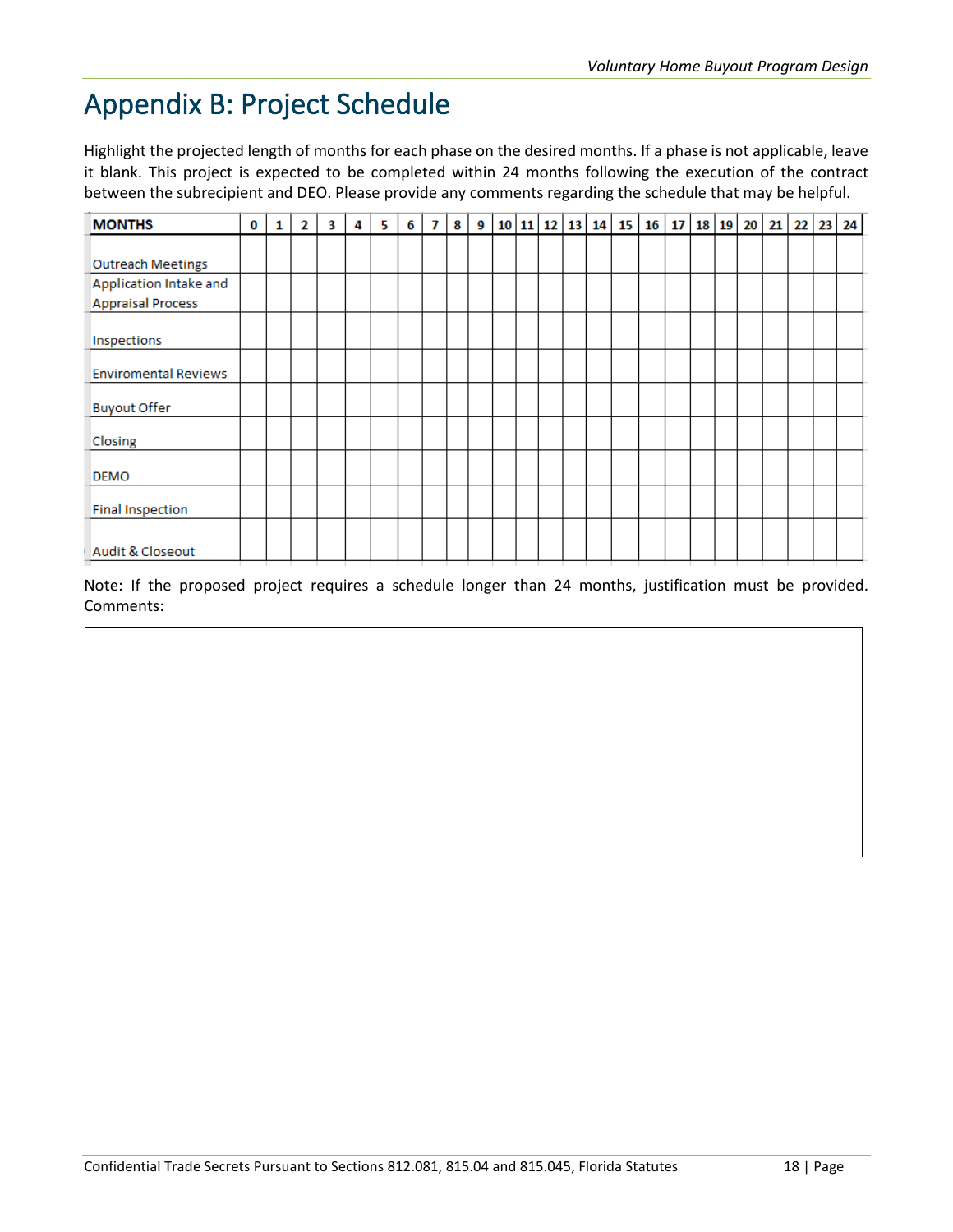### <span id="page-22-0"></span>Appendix B: Project Schedule

Highlight the projected length of months for each phase on the desired months. If a phase is not applicable, leave it blank. This project is expected to be completed within 24 months following the execution of the contract between the subrecipient and DEO. Please provide any comments regarding the schedule that may be helpful.

| <b>MONTHS</b>               | $\bf{0}$ | 1 | 2 | 3 | 4 | 5. | 6 | 7 | 8 | 9 |  |  | 10 11 12 13 14 15 | 16 | 17 |  | $18$ 19 20 21 | 22 | 23 24 |
|-----------------------------|----------|---|---|---|---|----|---|---|---|---|--|--|-------------------|----|----|--|---------------|----|-------|
|                             |          |   |   |   |   |    |   |   |   |   |  |  |                   |    |    |  |               |    |       |
| <b>Outreach Meetings</b>    |          |   |   |   |   |    |   |   |   |   |  |  |                   |    |    |  |               |    |       |
| Application Intake and      |          |   |   |   |   |    |   |   |   |   |  |  |                   |    |    |  |               |    |       |
| <b>Appraisal Process</b>    |          |   |   |   |   |    |   |   |   |   |  |  |                   |    |    |  |               |    |       |
| Inspections                 |          |   |   |   |   |    |   |   |   |   |  |  |                   |    |    |  |               |    |       |
|                             |          |   |   |   |   |    |   |   |   |   |  |  |                   |    |    |  |               |    |       |
| <b>Enviromental Reviews</b> |          |   |   |   |   |    |   |   |   |   |  |  |                   |    |    |  |               |    |       |
| <b>Buyout Offer</b>         |          |   |   |   |   |    |   |   |   |   |  |  |                   |    |    |  |               |    |       |
| Closing                     |          |   |   |   |   |    |   |   |   |   |  |  |                   |    |    |  |               |    |       |
| <b>DEMO</b>                 |          |   |   |   |   |    |   |   |   |   |  |  |                   |    |    |  |               |    |       |
| <b>Final Inspection</b>     |          |   |   |   |   |    |   |   |   |   |  |  |                   |    |    |  |               |    |       |
| Audit & Closeout            |          |   |   |   |   |    |   |   |   |   |  |  |                   |    |    |  |               |    |       |

Note: If the proposed project requires a schedule longer than 24 months, justification must be provided. Comments: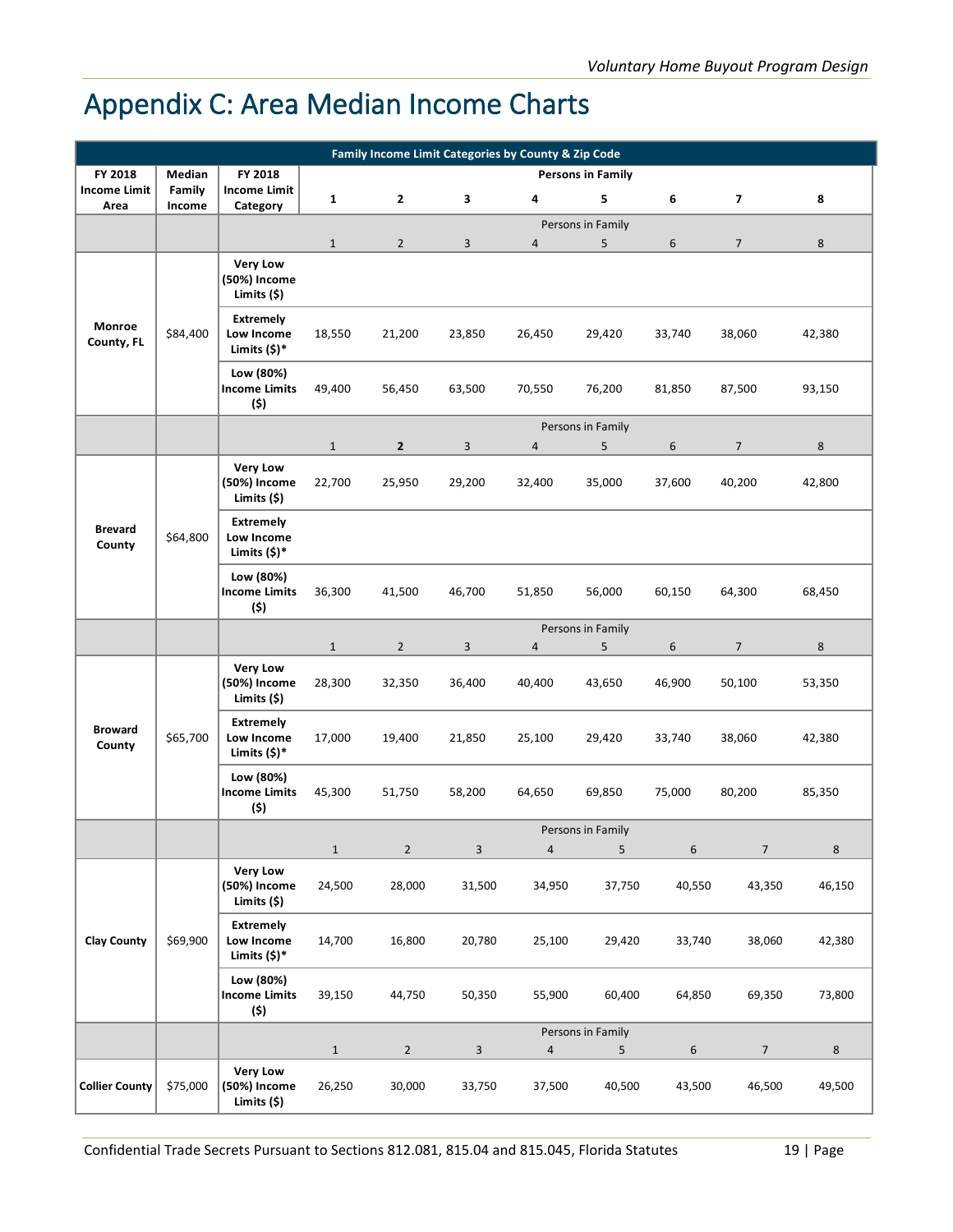## <span id="page-23-0"></span>Appendix C: Area Median Income Charts

| Family Income Limit Categories by County & Zip Code |                  |                                                   |                       |                          |                |                          |                          |             |                          |                   |
|-----------------------------------------------------|------------------|---------------------------------------------------|-----------------------|--------------------------|----------------|--------------------------|--------------------------|-------------|--------------------------|-------------------|
| FY 2018                                             | Median           | FY 2018                                           |                       |                          |                |                          | <b>Persons in Family</b> |             |                          |                   |
| <b>Income Limit</b><br>Area                         | Family<br>Income | <b>Income Limit</b><br>Category                   | $\mathbf{1}$          | $\mathbf{2}$             | 3              | 4                        | 5                        | 6           | 7                        | 8                 |
|                                                     |                  |                                                   |                       |                          |                |                          | Persons in Family        |             |                          |                   |
|                                                     |                  |                                                   | $\mathbf{1}$          | $\overline{2}$           | 3              | 4                        | 5                        | 6           | $\overline{7}$           | 8                 |
|                                                     |                  | <b>Very Low</b><br>(50%) Income<br>Limits (\$)    |                       |                          |                |                          |                          |             |                          |                   |
| Monroe<br>County, FL                                | \$84,400         | <b>Extremely</b><br>Low Income<br>Limits $(5)^*$  | 18,550                | 21,200                   | 23,850         | 26,450                   | 29,420                   | 33,740      | 38,060                   | 42,380            |
|                                                     |                  | Low (80%)<br><b>Income Limits</b><br>(\$)         | 49,400                | 56,450                   | 63,500         | 70,550                   | 76,200                   | 81,850      | 87,500                   | 93,150            |
|                                                     |                  |                                                   |                       |                          |                |                          | Persons in Family        |             |                          |                   |
|                                                     |                  |                                                   | $\mathbf{1}$          | $\mathbf{2}$             | 3              | 4                        | 5                        | 6           | $\overline{7}$           | 8                 |
|                                                     |                  | <b>Very Low</b><br>(50%) Income<br>Limits $(5)$   | 22,700                | 25,950                   | 29,200         | 32,400                   | 35,000                   | 37,600      | 40,200                   | 42,800            |
| <b>Brevard</b><br>County                            | \$64,800         | <b>Extremely</b><br>Low Income<br>Limits $(5)^*$  |                       |                          |                |                          |                          |             |                          |                   |
|                                                     |                  | Low (80%)<br><b>Income Limits</b><br>(5)          | 36,300                | 41,500                   | 46,700         | 51,850                   | 56,000                   | 60,150      | 64,300                   | 68,450            |
|                                                     |                  |                                                   |                       |                          |                |                          | Persons in Family        |             |                          |                   |
|                                                     |                  |                                                   | $1\,$                 | $\mathbf 2$              | $\overline{3}$ | 4                        | 5                        | 6           | $\overline{7}$           | 8                 |
|                                                     |                  | <b>Very Low</b><br>(50%) Income<br>Limits (\$)    | 28,300                | 32,350                   | 36,400         | 40,400                   | 43,650                   | 46,900      | 50,100                   | 53,350            |
| <b>Broward</b><br>County                            | \$65,700         | <b>Extremely</b><br>Low Income<br>Limits $(\$)^*$ | 17,000                | 19,400                   | 21,850         | 25,100                   | 29,420                   | 33,740      | 38,060                   | 42,380            |
|                                                     |                  | Low (80%)<br><b>Income Limits</b><br>(\$)         | 45,300                | 51,750                   | 58,200         | 64,650                   | 69,850                   | 75,000      | 80,200                   | 85,350            |
|                                                     |                  |                                                   |                       |                          |                |                          | Persons in Family        |             |                          |                   |
|                                                     |                  |                                                   | $\mathbf 1$           | $\overline{2}$           | 3              | $\overline{4}$           | 5                        | 6           | $\overline{7}$           | $\,8\,$           |
|                                                     |                  | <b>Very Low</b><br>(50%) Income<br>Limits (\$)    | 24,500                | 28,000                   | 31,500         | 34,950                   | 37,750                   | 40,550      | 43,350                   | 46,150            |
| <b>Clay County</b>                                  | \$69,900         | <b>Extremely</b><br>Low Income<br>Limits $(\$)^*$ | 14,700                | 16,800                   | 20,780         | 25,100                   | 29,420                   | 33,740      | 38,060                   | 42,380            |
|                                                     |                  | Low (80%)<br><b>Income Limits</b><br>(\$)         | 39,150                | 44,750                   | 50,350         | 55,900                   | 60,400                   | 64,850      | 69,350                   | 73,800            |
|                                                     |                  |                                                   |                       |                          |                |                          | Persons in Family        |             |                          |                   |
| <b>Collier County</b>                               | \$75,000         | <b>Very Low</b><br>(50%) Income<br>Limits (\$)    | $\mathbf 1$<br>26,250 | $\overline{2}$<br>30,000 | 3<br>33,750    | $\overline{a}$<br>37,500 | 5<br>40,500              | 6<br>43,500 | $\overline{7}$<br>46,500 | $\bf 8$<br>49,500 |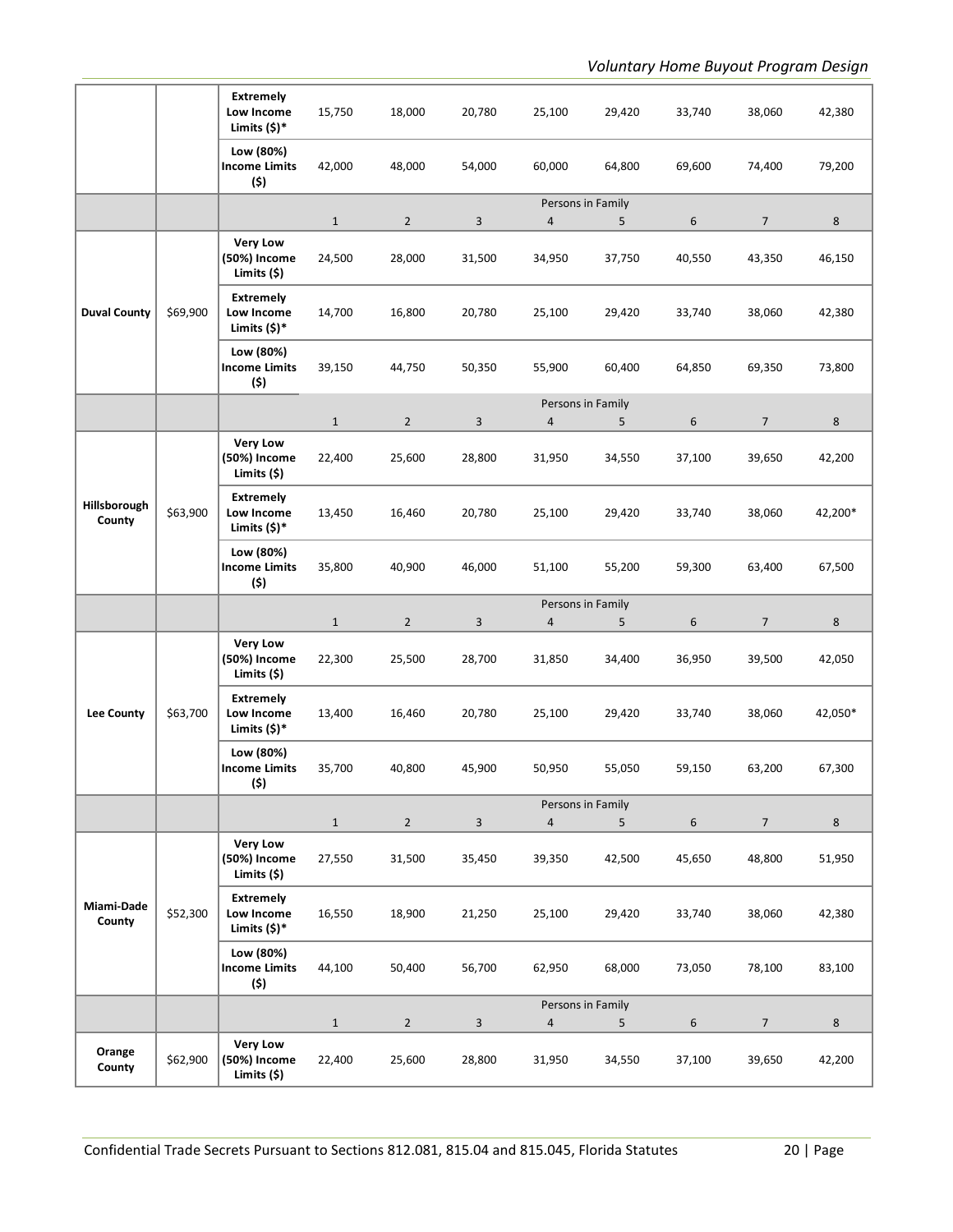|                        |          | <b>Extremely</b><br>Low Income<br>Limits (\$)*    | 15,750                 | 18,000                   | 20,780       | 25,100                              | 29,420      | 33,740           | 38,060                   | 42,380            |
|------------------------|----------|---------------------------------------------------|------------------------|--------------------------|--------------|-------------------------------------|-------------|------------------|--------------------------|-------------------|
|                        |          | Low (80%)<br><b>Income Limits</b><br>(\$)         | 42,000                 | 48,000                   | 54,000       | 60,000                              | 64,800      | 69,600           | 74,400                   | 79,200            |
|                        |          |                                                   | $\mathbf{1}$           | $\overline{2}$           | 3            | Persons in Family<br>$\sqrt{4}$     | 5           | 6                | $\overline{7}$           | $8\phantom{1}$    |
|                        |          | <b>Very Low</b><br>(50%) Income<br>Limits $(5)$   | 24,500                 | 28,000                   | 31,500       | 34,950                              | 37,750      | 40,550           | 43,350                   | 46,150            |
| <b>Duval County</b>    | \$69,900 | <b>Extremely</b><br>Low Income<br>Limits $(5)^*$  | 14,700                 | 16,800                   | 20,780       | 25,100                              | 29,420      | 33,740           | 38,060                   | 42,380            |
|                        |          | Low (80%)<br><b>Income Limits</b><br>(\$)         | 39,150                 | 44,750                   | 50,350       | 55,900                              | 60,400      | 64,850           | 69,350                   | 73,800            |
|                        |          |                                                   | $\mathbf 1$            | $\overline{2}$           | 3            | Persons in Family<br>$\overline{4}$ | 5           | 6                | $\overline{7}$           | 8                 |
|                        |          | <b>Very Low</b><br>(50%) Income<br>Limits (\$)    | 22,400                 | 25,600                   | 28,800       | 31,950                              | 34,550      | 37,100           | 39,650                   | 42,200            |
| Hillsborough<br>County | \$63,900 | <b>Extremely</b><br>Low Income<br>Limits $(5)^*$  | 13,450                 | 16,460                   | 20,780       | 25,100                              | 29,420      | 33,740           | 38,060                   | 42,200*           |
|                        |          | Low (80%)<br><b>Income Limits</b><br>(\$)         | 35,800                 | 40,900                   | 46,000       | 51,100                              | 55,200      | 59,300           | 63,400                   | 67,500            |
|                        |          |                                                   |                        |                          |              |                                     |             |                  |                          |                   |
|                        |          |                                                   | $\mathbf{1}$           | $\overline{2}$           | 3            | Persons in Family<br>$\overline{4}$ | 5           | 6                | $\overline{7}$           | 8                 |
|                        |          | <b>Very Low</b><br>(50%) Income<br>Limits $(5)$   | 22,300                 | 25,500                   | 28,700       | 31,850                              | 34,400      | 36,950           | 39,500                   | 42,050            |
| Lee County             | \$63,700 | <b>Extremely</b><br>Low Income<br>Limits $(5)^*$  | 13,400                 | 16,460                   | 20,780       | 25,100                              | 29,420      | 33,740           | 38,060                   | 42,050*           |
|                        |          | Low (80%)<br><b>Income Limits</b><br>(5)          | 35,700                 | 40,800                   | 45,900       | 50,950                              | 55,050      | 59,150           | 63,200                   | 67,300            |
|                        |          |                                                   |                        |                          |              | Persons in Family                   |             |                  |                          |                   |
|                        |          | <b>Very Low</b><br>(50%) Income<br>Limits (\$)    | $\mathbf{1}$<br>27,550 | $\overline{2}$<br>31,500 | 3<br>35,450  | $\overline{4}$<br>39,350            | 5<br>42,500 | 6<br>45,650      | $\overline{7}$<br>48,800 | $\bf 8$<br>51,950 |
| Miami-Dade<br>County   | \$52,300 | <b>Extremely</b><br>Low Income<br>Limits $(\$)^*$ | 16,550                 | 18,900                   | 21,250       | 25,100                              | 29,420      | 33,740           | 38,060                   | 42,380            |
|                        |          | Low (80%)<br><b>Income Limits</b><br>(\$)         | 44,100                 | 50,400                   | 56,700       | 62,950                              | 68,000      | 73,050           | 78,100                   | 83,100            |
|                        |          |                                                   | $\mathbf 1$            | $\overline{2}$           | $\mathbf{3}$ | Persons in Family<br>$\overline{4}$ | 5           | $\boldsymbol{6}$ | $\overline{7}$           | $8\phantom{1}$    |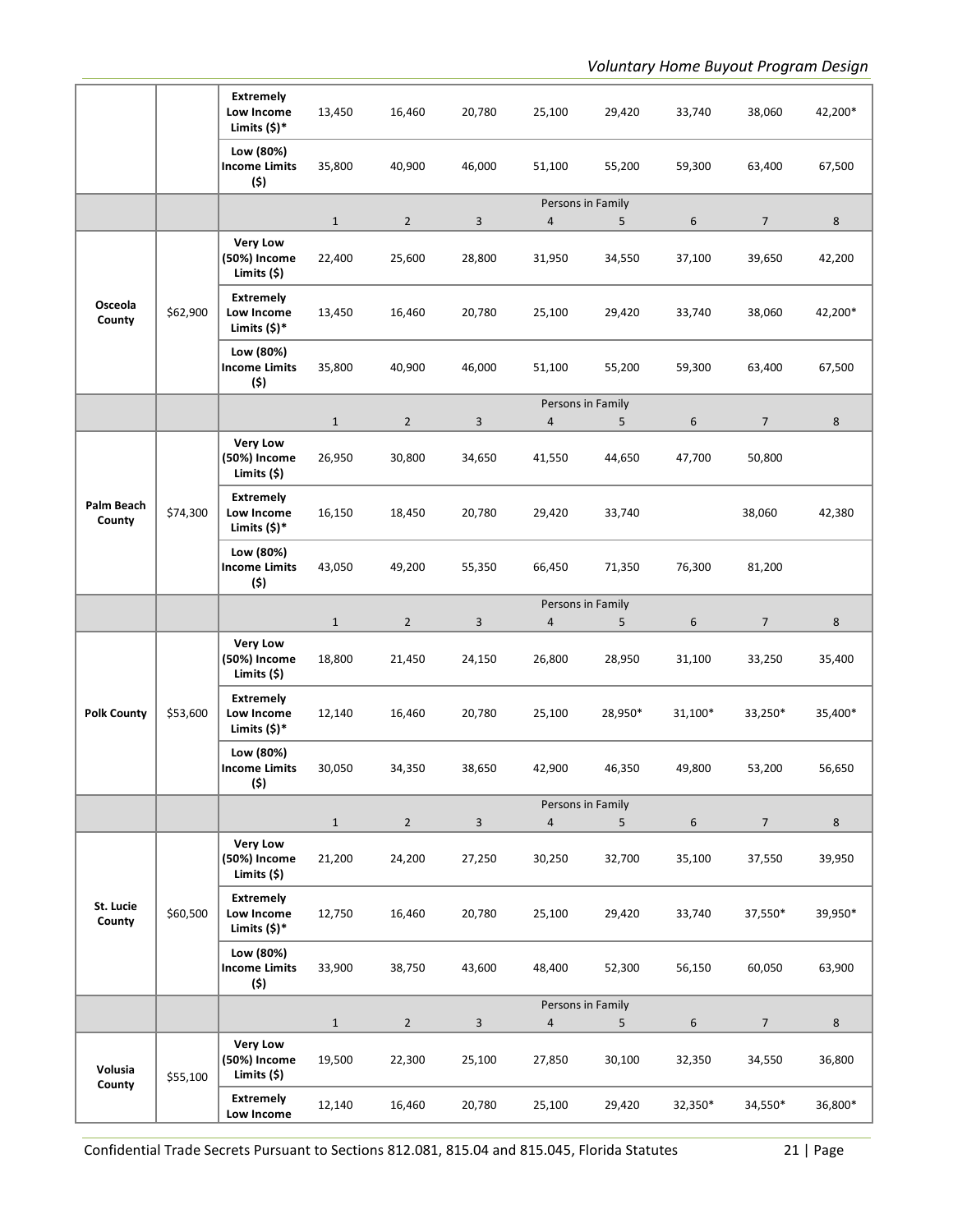|                      |          | <b>Extremely</b><br>Low Income<br>Limits (\$)*   | 13,450                 | 16,460                   | 20,780      | 25,100                              | 29,420      | 33,740      | 38,060                   | 42,200*           |
|----------------------|----------|--------------------------------------------------|------------------------|--------------------------|-------------|-------------------------------------|-------------|-------------|--------------------------|-------------------|
|                      |          | Low (80%)<br><b>Income Limits</b><br>(\$)        | 35,800                 | 40,900                   | 46,000      | 51,100                              | 55,200      | 59,300      | 63,400                   | 67,500            |
|                      |          |                                                  | $\mathbf{1}$           | $\overline{2}$           | 3           | Persons in Family<br>$\overline{4}$ | 5           | 6           | $\overline{7}$           | 8                 |
|                      |          | <b>Very Low</b><br>(50%) Income<br>Limits $(5)$  | 22,400                 | 25,600                   | 28,800      | 31,950                              | 34,550      | 37,100      | 39,650                   | 42,200            |
| Osceola<br>County    | \$62,900 | <b>Extremely</b><br>Low Income<br>Limits $(5)^*$ | 13,450                 | 16,460                   | 20,780      | 25,100                              | 29,420      | 33,740      | 38,060                   | 42,200*           |
|                      |          | Low (80%)<br><b>Income Limits</b><br>(\$)        | 35,800                 | 40,900                   | 46,000      | 51,100                              | 55,200      | 59,300      | 63,400                   | 67,500            |
|                      |          |                                                  | $1\,$                  | $\overline{2}$           | 3           | Persons in Family<br>$\overline{a}$ | 5           | 6           | $\overline{7}$           | 8                 |
|                      |          | <b>Very Low</b><br>(50%) Income<br>Limits $(5)$  | 26,950                 | 30,800                   | 34,650      | 41,550                              | 44,650      | 47,700      | 50,800                   |                   |
| Palm Beach<br>County | \$74,300 | <b>Extremely</b><br>Low Income<br>Limits $(5)^*$ | 16,150                 | 18,450                   | 20,780      | 29,420                              | 33,740      |             | 38,060                   | 42,380            |
|                      |          | Low (80%)<br><b>Income Limits</b><br>(\$)        | 43,050                 | 49,200                   | 55,350      | 66,450                              | 71,350      | 76,300      | 81,200                   |                   |
|                      |          |                                                  |                        |                          |             | Persons in Family                   |             |             |                          |                   |
|                      |          |                                                  |                        |                          |             |                                     |             |             |                          |                   |
|                      |          | <b>Very Low</b><br>(50%) Income<br>Limits (\$)   | $\mathbf{1}$<br>18,800 | $\overline{2}$<br>21,450 | 3<br>24,150 | $\overline{4}$<br>26,800            | 5<br>28,950 | 6<br>31,100 | $\overline{7}$<br>33,250 | 8<br>35,400       |
| <b>Polk County</b>   | \$53,600 | <b>Extremely</b><br>Low Income<br>Limits $(5)^*$ | 12,140                 | 16,460                   | 20,780      | 25,100                              | 28,950*     | 31,100*     | 33,250*                  | 35,400*           |
|                      |          | Low (80%)<br>Income Limits<br>(\$)               | 30,050                 | 34,350                   | 38,650      | 42,900                              | 46,350      | 49,800      | 53,200                   | 56,650            |
|                      |          |                                                  |                        |                          |             | Persons in Family<br>$\overline{4}$ |             |             |                          |                   |
|                      |          | <b>Very Low</b><br>(50%) Income<br>Limits (\$)   | $\mathbf{1}$<br>21,200 | $\overline{2}$<br>24,200 | 3<br>27,250 | 30,250                              | 5<br>32,700 | 6<br>35,100 | $\overline{7}$<br>37,550 | $\bf 8$<br>39,950 |
| St. Lucie<br>County  | \$60,500 | <b>Extremely</b><br>Low Income<br>Limits $(5)^*$ | 12,750                 | 16,460                   | 20,780      | 25,100                              | 29,420      | 33,740      | 37,550*                  | 39,950*           |
|                      |          | Low (80%)<br><b>Income Limits</b><br>(\$)        | 33,900                 | 38,750                   | 43,600      | 48,400                              | 52,300      | 56,150      | 60,050                   | 63,900            |
|                      |          |                                                  |                        |                          |             | Persons in Family                   |             |             |                          |                   |
| Volusia<br>County    | \$55,100 | <b>Very Low</b><br>(50%) Income<br>Limits (\$)   | $\mathbf{1}$<br>19,500 | $\overline{2}$<br>22,300 | 3<br>25,100 | $\overline{4}$<br>27,850            | 5<br>30,100 | 6<br>32,350 | $\overline{7}$<br>34,550 | $\bf 8$<br>36,800 |

Confidential Trade Secrets Pursuant to Sections 812.081, 815.04 and 815.045, Florida Statutes 21 | Page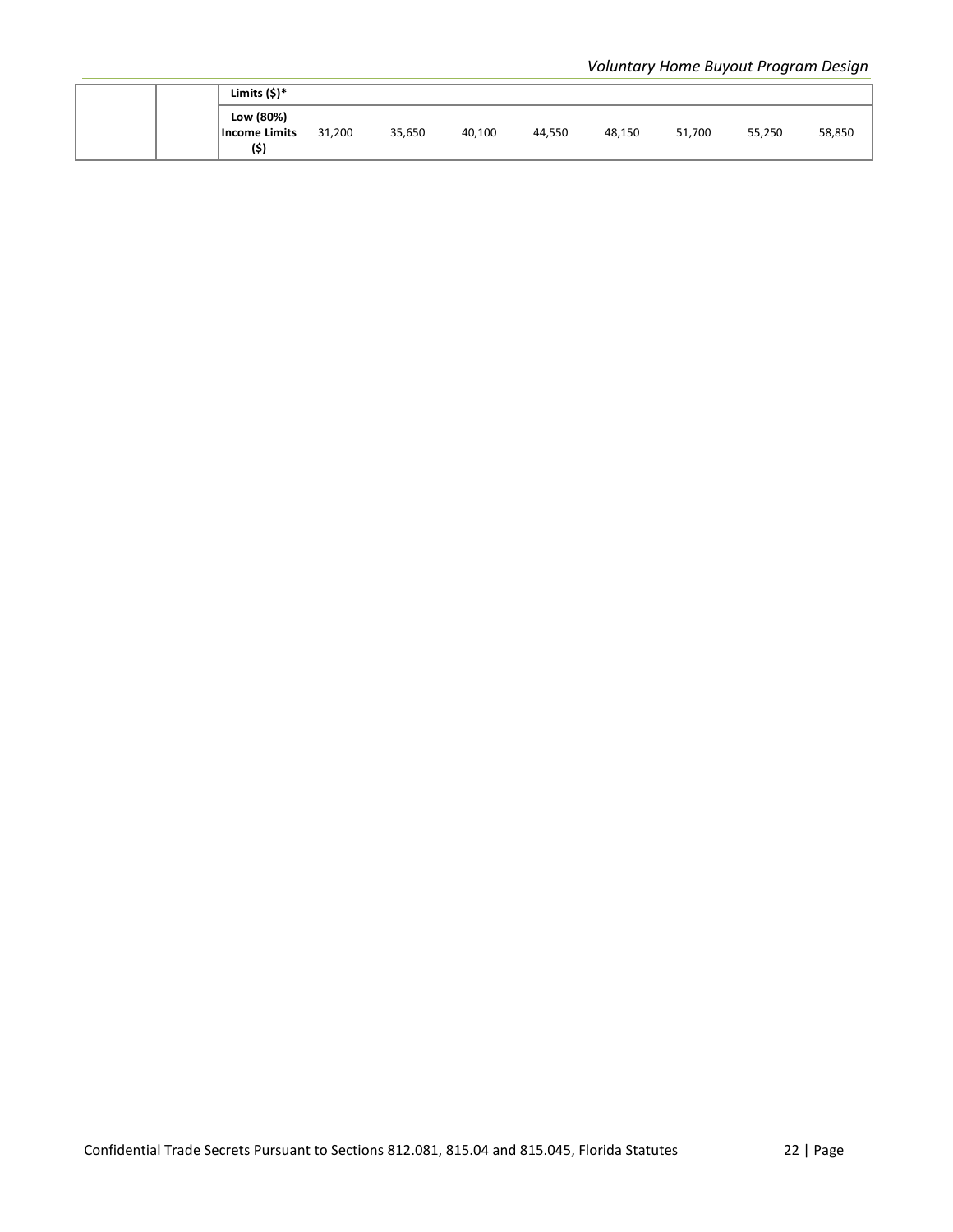|  | Limits $(5)^*$                     |        |        |        |        |        |        |        |        |
|--|------------------------------------|--------|--------|--------|--------|--------|--------|--------|--------|
|  | Low (80%)<br>Income Limits<br>(\$) | 31,200 | 35,650 | 40,100 | 44,550 | 48,150 | 51,700 | 55,250 | 58,850 |